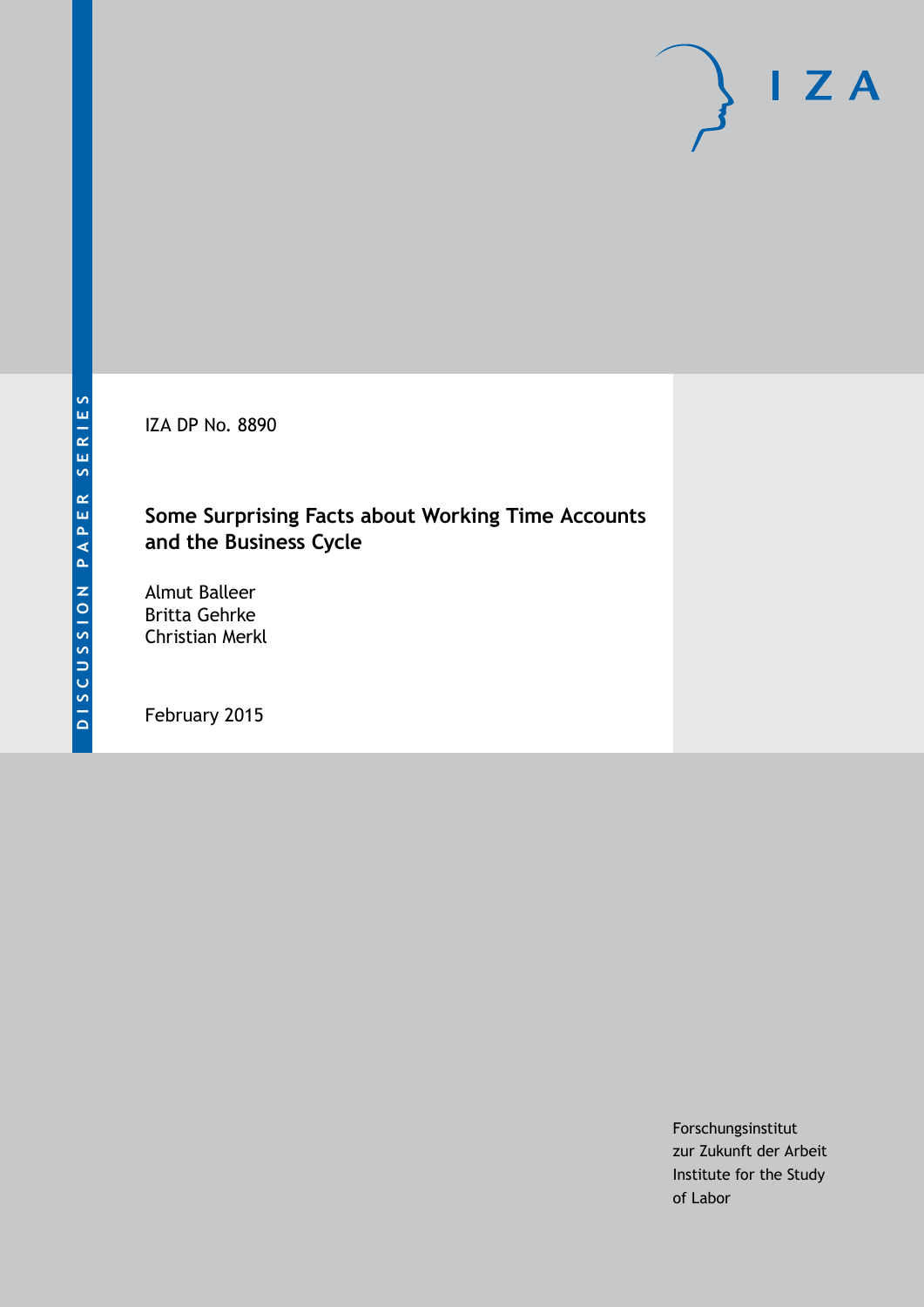IZA DP No. 8890

#### **Some Surprising Facts about Working Time Accounts and the Business Cycle**

Almut Balleer Britta Gehrke Christian Merkl

February 2015

Forschungsinstitut zur Zukunft der Arbeit Institute for the Study of Labor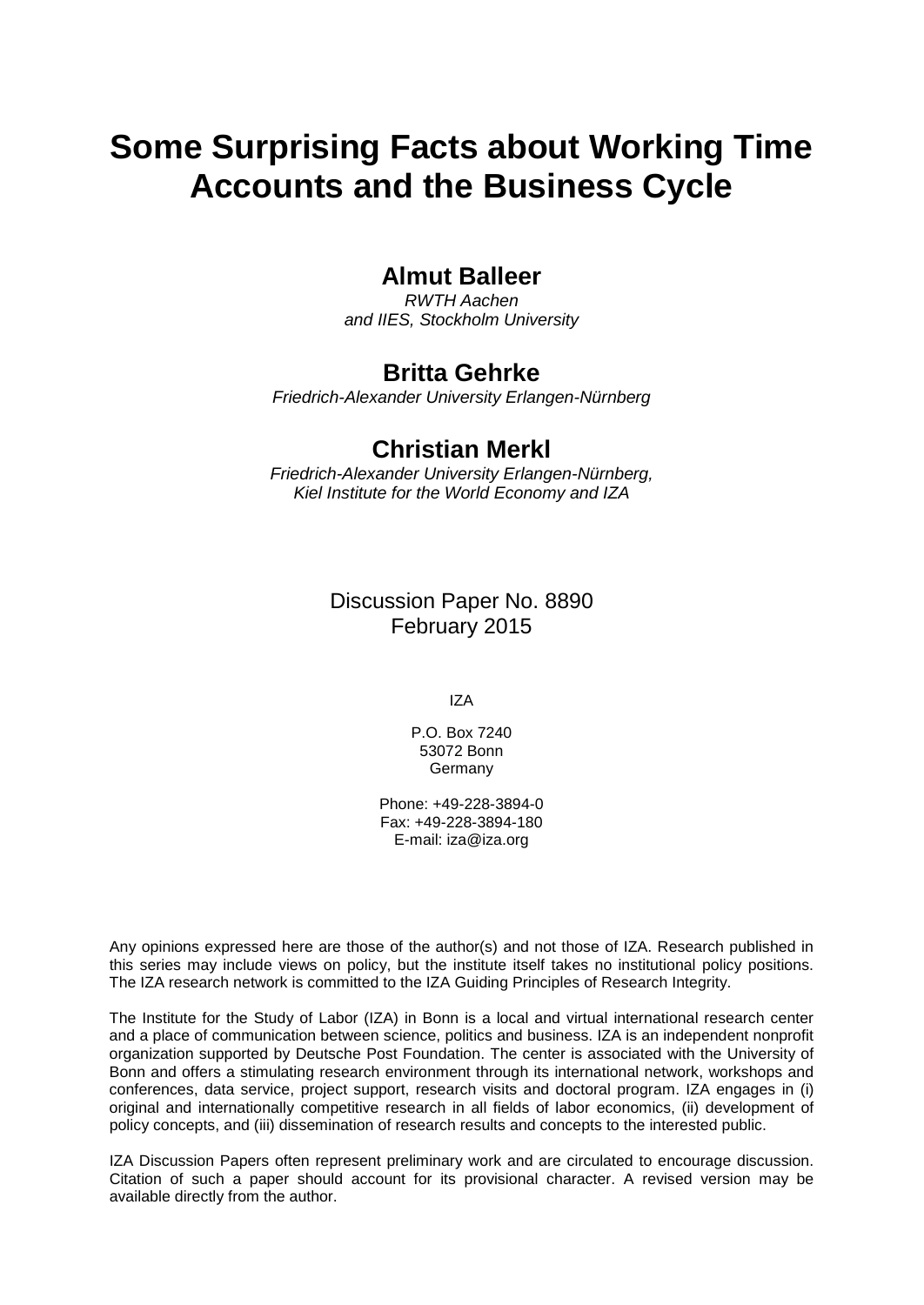# **Some Surprising Facts about Working Time Accounts and the Business Cycle**

#### **Almut Balleer**

*RWTH Aachen and IIES, Stockholm University*

#### **Britta Gehrke**

*Friedrich-Alexander University Erlangen-Nürnberg*

#### **Christian Merkl**

*Friedrich-Alexander University Erlangen-Nürnberg, Kiel Institute for the World Economy and IZA*

> Discussion Paper No. 8890 February 2015

> > IZA

P.O. Box 7240 53072 Bonn Germany

Phone: +49-228-3894-0 Fax: +49-228-3894-180 E-mail: [iza@iza.org](mailto:iza@iza.org)

Any opinions expressed here are those of the author(s) and not those of IZA. Research published in this series may include views on policy, but the institute itself takes no institutional policy positions. The IZA research network is committed to the IZA Guiding Principles of Research Integrity.

The Institute for the Study of Labor (IZA) in Bonn is a local and virtual international research center and a place of communication between science, politics and business. IZA is an independent nonprofit organization supported by Deutsche Post Foundation. The center is associated with the University of Bonn and offers a stimulating research environment through its international network, workshops and conferences, data service, project support, research visits and doctoral program. IZA engages in (i) original and internationally competitive research in all fields of labor economics, (ii) development of policy concepts, and (iii) dissemination of research results and concepts to the interested public.

<span id="page-1-0"></span>IZA Discussion Papers often represent preliminary work and are circulated to encourage discussion. Citation of such a paper should account for its provisional character. A revised version may be available directly from the author.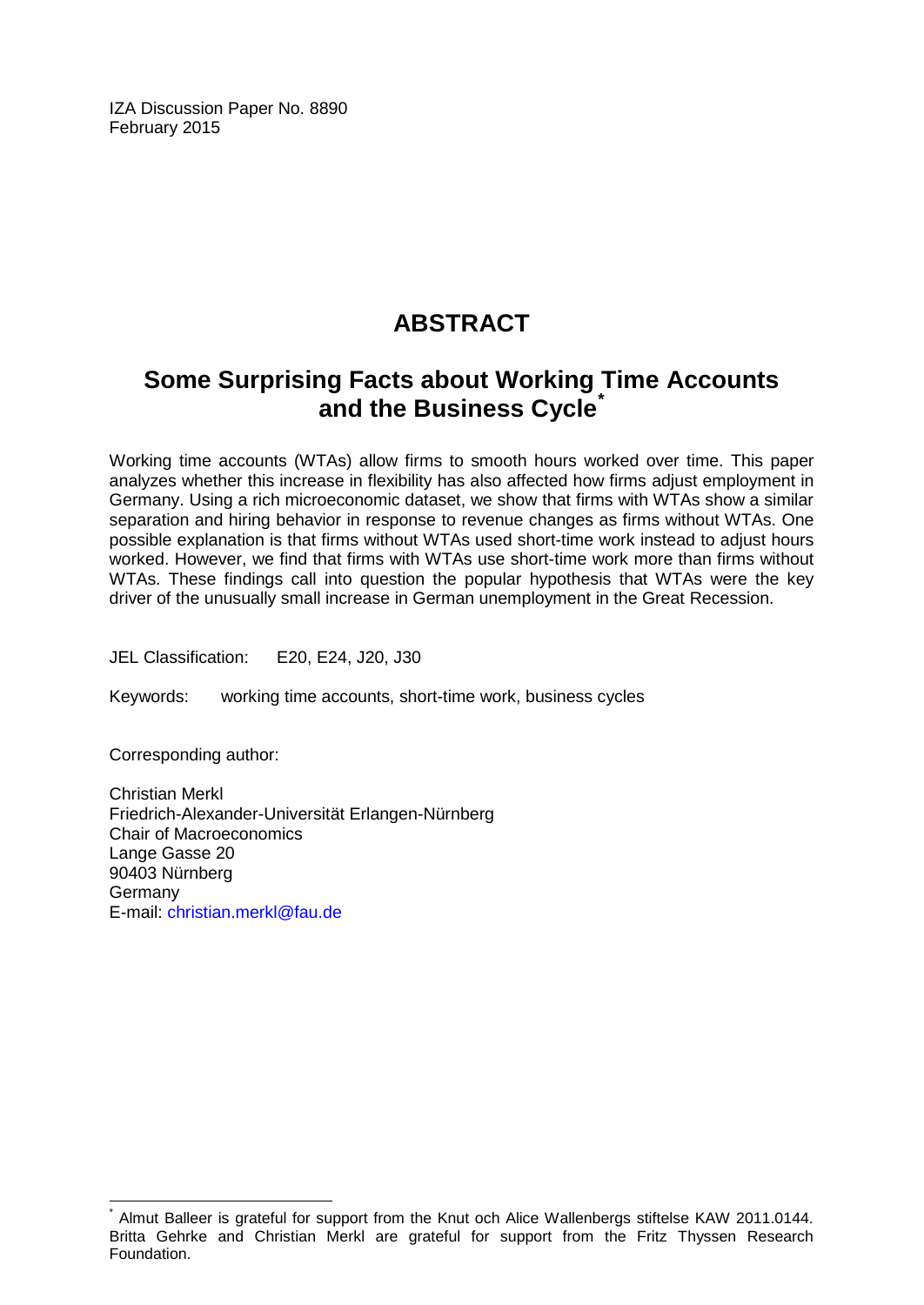IZA Discussion Paper No. 8890 February 2015

### **ABSTRACT**

### **Some Surprising Facts about Working Time Accounts and the Business Cycle[\\*](#page-1-0)**

Working time accounts (WTAs) allow firms to smooth hours worked over time. This paper analyzes whether this increase in flexibility has also affected how firms adjust employment in Germany. Using a rich microeconomic dataset, we show that firms with WTAs show a similar separation and hiring behavior in response to revenue changes as firms without WTAs. One possible explanation is that firms without WTAs used short-time work instead to adjust hours worked. However, we find that firms with WTAs use short-time work more than firms without WTAs. These findings call into question the popular hypothesis that WTAs were the key driver of the unusually small increase in German unemployment in the Great Recession.

JEL Classification: E20, E24, J20, J30

Keywords: working time accounts, short-time work, business cycles

Corresponding author:

Christian Merkl Friedrich-Alexander-Universität Erlangen-Nürnberg Chair of Macroeconomics Lange Gasse 20 90403 Nürnberg Germany E-mail: [christian.merkl@fau.de](mailto:christian.merkl@fau.de)

Almut Balleer is grateful for support from the Knut och Alice Wallenbergs stiftelse KAW 2011.0144. Britta Gehrke and Christian Merkl are grateful for support from the Fritz Thyssen Research Foundation.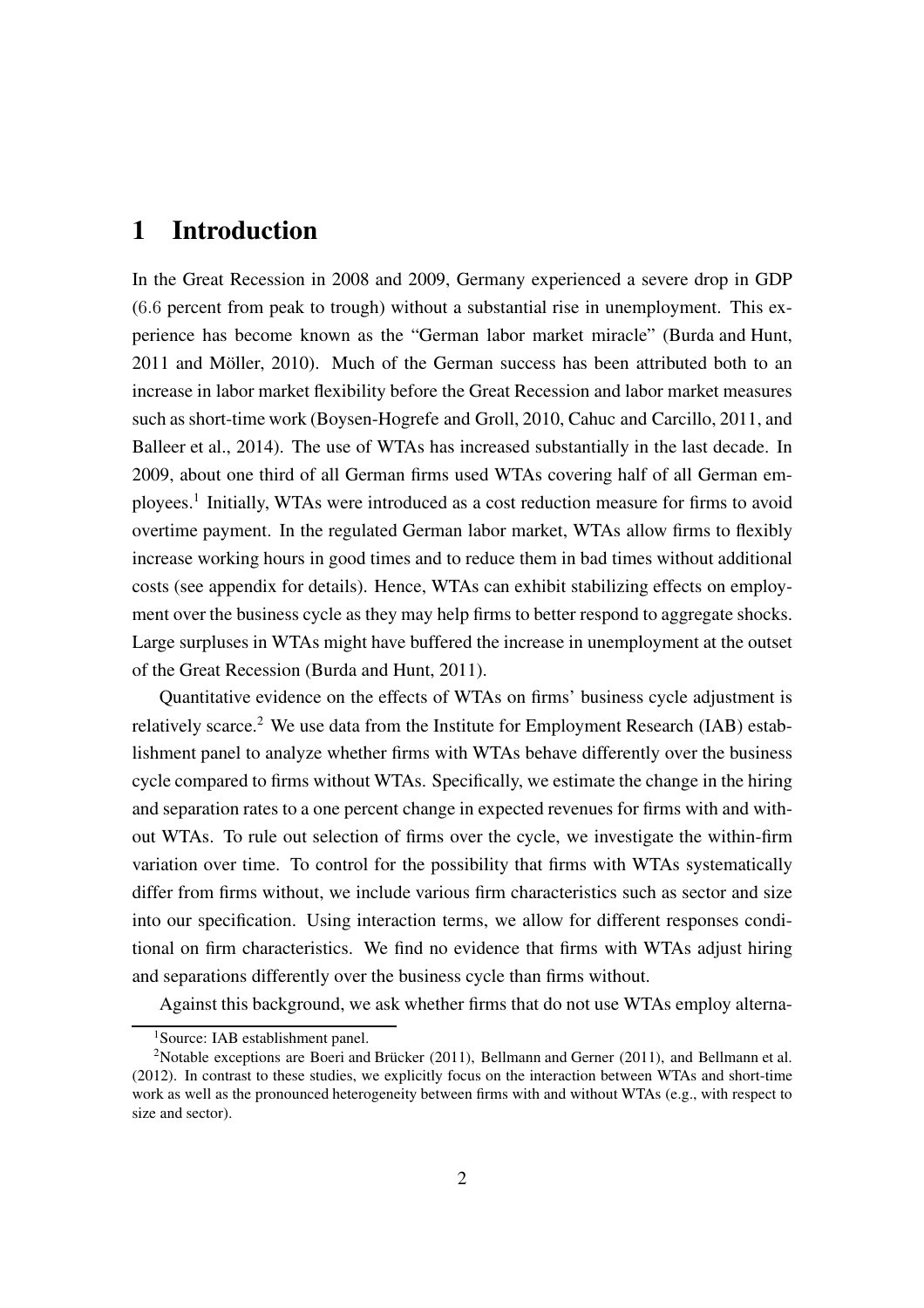#### 1 Introduction

In the Great Recession in 2008 and 2009, Germany experienced a severe drop in GDP (6.6 percent from peak to trough) without a substantial rise in unemployment. This experience has become known as the "German labor market miracle" [\(Burda and Hunt](#page-13-0), [2011](#page-13-0) and [Möller, 2010\)](#page-13-1). Much of the German success has been attributed both to an increase in labor market flexibility before the Great Recession and labor market measures such as short-time work [\(Boysen-Hogrefe and Groll](#page-13-2), [2010,](#page-13-2) [Cahuc and Carcillo](#page-13-3), [2011,](#page-13-3) and [Balleer et al., 2014](#page-13-4)). The use of WTAs has increased substantially in the last decade. In 2009, about one third of all German firms used WTAs covering half of all German em-ployees.<sup>[1](#page-3-0)</sup> Initially, WTAs were introduced as a cost reduction measure for firms to avoid overtime payment. In the regulated German labor market, WTAs allow firms to flexibly increase working hours in good times and to reduce them in bad times without additional costs (see appendix for details). Hence, WTAs can exhibit stabilizing effects on employment over the business cycle as they may help firms to better respond to aggregate shocks. Large surpluses in WTAs might have buffered the increase in unemployment at the outset of the Great Recession [\(Burda and Hunt, 2011\)](#page-13-0).

Quantitative evidence on the effects of WTAs on firms' business cycle adjustment is relatively scarce.<sup>[2](#page-3-1)</sup> We use data from the Institute for Employment Research (IAB) establishment panel to analyze whether firms with WTAs behave differently over the business cycle compared to firms without WTAs. Specifically, we estimate the change in the hiring and separation rates to a one percent change in expected revenues for firms with and without WTAs. To rule out selection of firms over the cycle, we investigate the within-firm variation over time. To control for the possibility that firms with WTAs systematically differ from firms without, we include various firm characteristics such as sector and size into our specification. Using interaction terms, we allow for different responses conditional on firm characteristics. We find no evidence that firms with WTAs adjust hiring and separations differently over the business cycle than firms without.

Against this background, we ask whether firms that do not use WTAs employ alterna-

<span id="page-3-0"></span><sup>&</sup>lt;sup>1</sup>Source: IAB establishment panel.

<span id="page-3-1"></span><sup>2</sup>Notable exceptions are [Boeri and Brücker \(2011\)](#page-13-5), [Bellmann and Gerner \(2011](#page-13-6)), and [Bellmann et al.](#page-13-7) [\(2012\)](#page-13-7). In contrast to these studies, we explicitly focus on the interaction between WTAs and short-time work as well as the pronounced heterogeneity between firms with and without WTAs (e.g., with respect to size and sector).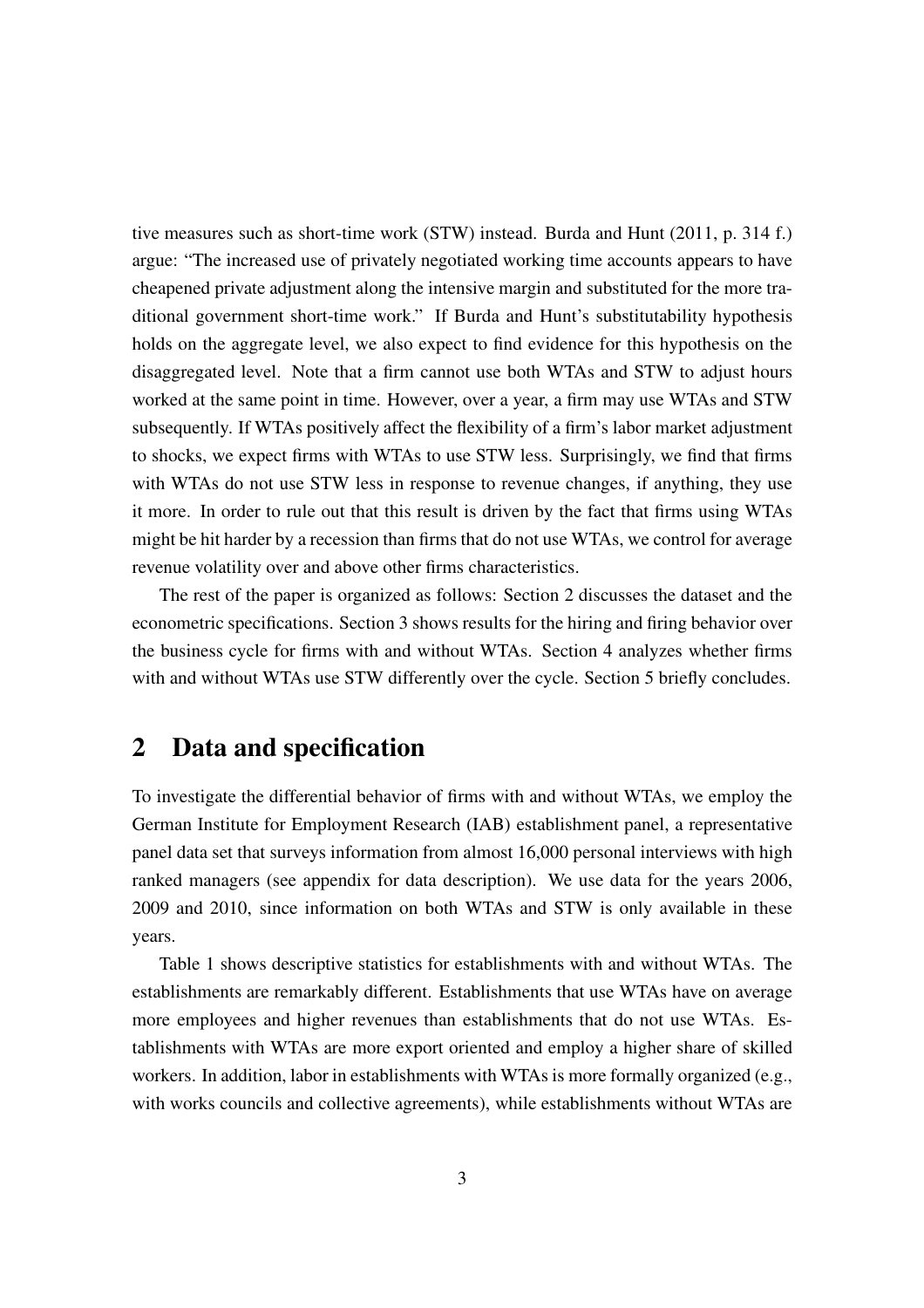tive measures such as short-time work (STW) instead. Burda and Hunt (2011, p. 314 f.) argue: "The increased use of privately negotiated working time accounts appears to have cheapened private adjustment along the intensive margin and substituted for the more traditional government short-time work." If Burda and Hunt's substitutability hypothesis holds on the aggregate level, we also expect to find evidence for this hypothesis on the disaggregated level. Note that a firm cannot use both WTAs and STW to adjust hours worked at the same point in time. However, over a year, a firm may use WTAs and STW subsequently. If WTAs positively affect the flexibility of a firm's labor market adjustment to shocks, we expect firms with WTAs to use STW less. Surprisingly, we find that firms with WTAs do not use STW less in response to revenue changes, if anything, they use it more. In order to rule out that this result is driven by the fact that firms using WTAs might be hit harder by a recession than firms that do not use WTAs, we control for average revenue volatility over and above other firms characteristics.

The rest of the paper is organized as follows: Section 2 discusses the dataset and the econometric specifications. Section 3 shows results for the hiring and firing behavior over the business cycle for firms with and without WTAs. Section 4 analyzes whether firms with and without WTAs use STW differently over the cycle. Section 5 briefly concludes.

#### 2 Data and specification

To investigate the differential behavior of firms with and without WTAs, we employ the German Institute for Employment Research (IAB) establishment panel, a representative panel data set that surveys information from almost 16,000 personal interviews with high ranked managers (see appendix for data description). We use data for the years 2006, 2009 and 2010, since information on both WTAs and STW is only available in these years.

Table [1](#page-5-0) shows descriptive statistics for establishments with and without WTAs. The establishments are remarkably different. Establishments that use WTAs have on average more employees and higher revenues than establishments that do not use WTAs. Establishments with WTAs are more export oriented and employ a higher share of skilled workers. In addition, labor in establishments with WTAs is more formally organized (e.g., with works councils and collective agreements), while establishments without WTAs are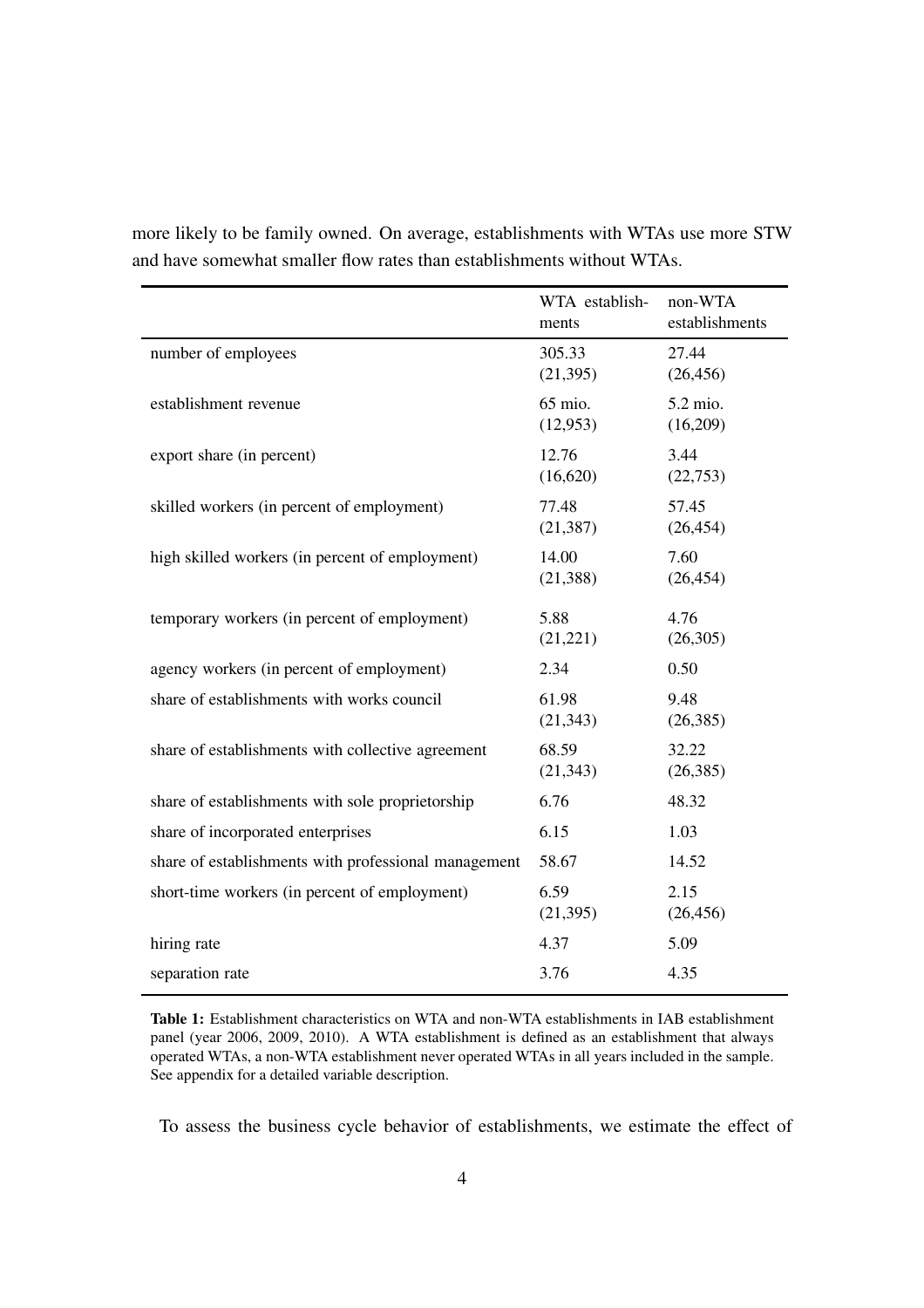|                                                      | WTA establish-<br>ments | non-WTA<br>establishments |
|------------------------------------------------------|-------------------------|---------------------------|
| number of employees                                  | 305.33<br>(21, 395)     | 27.44<br>(26, 456)        |
| establishment revenue                                | 65 mio.<br>(12, 953)    | 5.2 mio.<br>(16,209)      |
| export share (in percent)                            | 12.76<br>(16,620)       | 3.44<br>(22,753)          |
| skilled workers (in percent of employment)           | 77.48<br>(21, 387)      | 57.45<br>(26, 454)        |
| high skilled workers (in percent of employment)      | 14.00<br>(21, 388)      | 7.60<br>(26, 454)         |
| temporary workers (in percent of employment)         | 5.88<br>(21, 221)       | 4.76<br>(26,305)          |
| agency workers (in percent of employment)            | 2.34                    | 0.50                      |
| share of establishments with works council           | 61.98<br>(21, 343)      | 9.48<br>(26, 385)         |
| share of establishments with collective agreement    | 68.59<br>(21, 343)      | 32.22<br>(26, 385)        |
| share of establishments with sole proprietorship     | 6.76                    | 48.32                     |
| share of incorporated enterprises                    | 6.15                    | 1.03                      |
| share of establishments with professional management | 58.67                   | 14.52                     |
| short-time workers (in percent of employment)        | 6.59<br>(21, 395)       | 2.15<br>(26, 456)         |
| hiring rate                                          | 4.37                    | 5.09                      |
| separation rate                                      | 3.76                    | 4.35                      |

<span id="page-5-0"></span>more likely to be family owned. On average, establishments with WTAs use more STW and have somewhat smaller flow rates than establishments without WTAs.

Table 1: Establishment characteristics on WTA and non-WTA establishments in IAB establishment panel (year 2006, 2009, 2010). A WTA establishment is defined as an establishment that always operated WTAs, a non-WTA establishment never operated WTAs in all years included in the sample. See appendix for a detailed variable description.

To assess the business cycle behavior of establishments, we estimate the effect of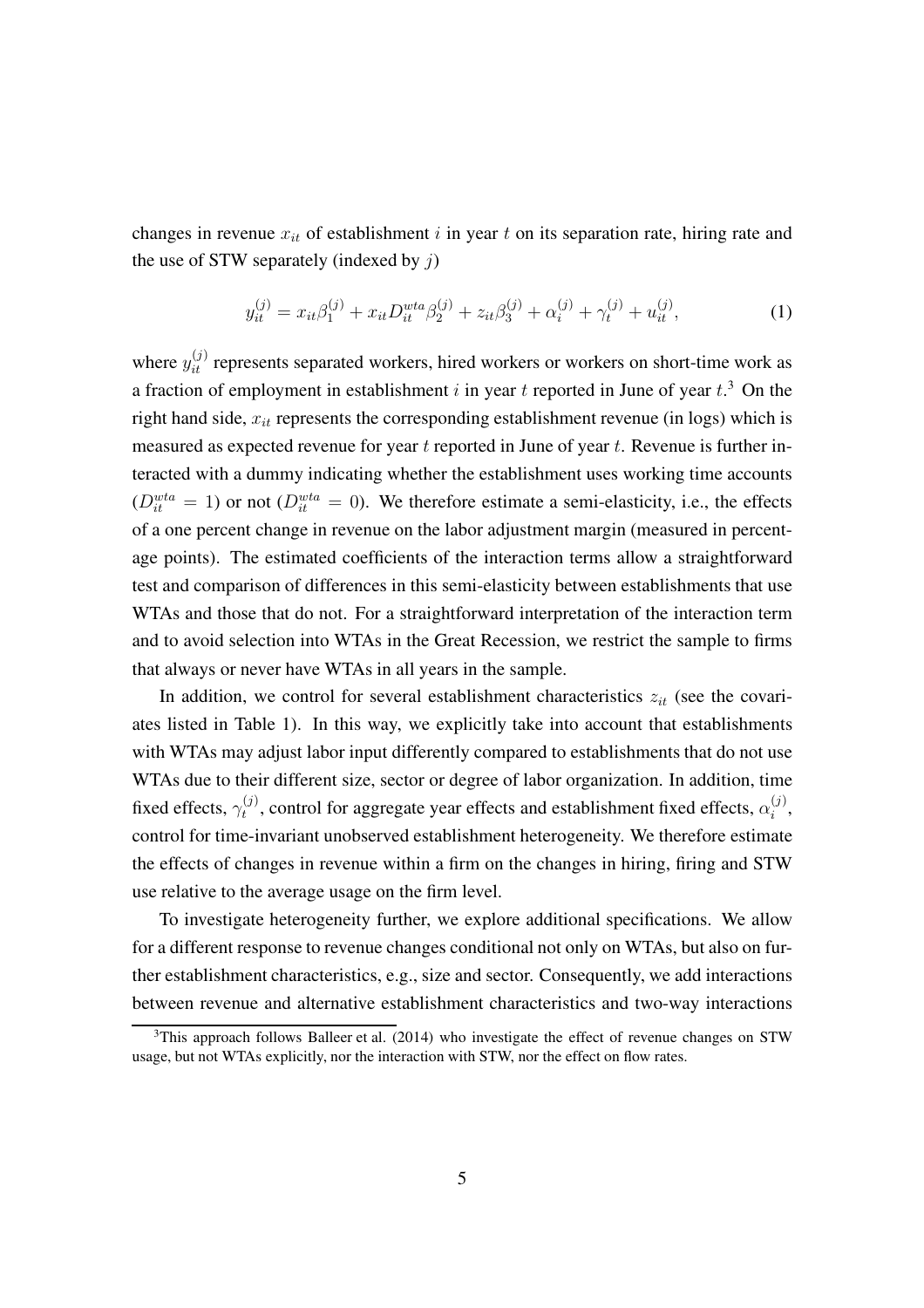changes in revenue  $x_{it}$  of establishment i in year t on its separation rate, hiring rate and the use of STW separately (indexed by  $i$ )

$$
y_{it}^{(j)} = x_{it}\beta_1^{(j)} + x_{it}D_{it}^{wta}\beta_2^{(j)} + z_{it}\beta_3^{(j)} + \alpha_i^{(j)} + \gamma_t^{(j)} + u_{it}^{(j)}, \tag{1}
$$

where  $y_{it}^{(j)}$  represents separated workers, hired workers or workers on short-time work as a fraction of employment in establishment i in year t reported in June of year  $t^3$  $t^3$ . On the right hand side,  $x_{it}$  represents the corresponding establishment revenue (in logs) which is measured as expected revenue for year  $t$  reported in June of year  $t$ . Revenue is further interacted with a dummy indicating whether the establishment uses working time accounts  $(D_{it}^{wta} = 1)$  or not  $(D_{it}^{wta} = 0)$ . We therefore estimate a semi-elasticity, i.e., the effects of a one percent change in revenue on the labor adjustment margin (measured in percentage points). The estimated coefficients of the interaction terms allow a straightforward test and comparison of differences in this semi-elasticity between establishments that use WTAs and those that do not. For a straightforward interpretation of the interaction term and to avoid selection into WTAs in the Great Recession, we restrict the sample to firms that always or never have WTAs in all years in the sample.

In addition, we control for several establishment characteristics  $z_{it}$  (see the covariates listed in Table [1\)](#page-5-0). In this way, we explicitly take into account that establishments with WTAs may adjust labor input differently compared to establishments that do not use WTAs due to their different size, sector or degree of labor organization. In addition, time fixed effects,  $\gamma_t^{(j)}$  $t_i^{(j)}$ , control for aggregate year effects and establishment fixed effects,  $\alpha_i^{(j)}$  $\binom{j}{i}$ control for time-invariant unobserved establishment heterogeneity. We therefore estimate the effects of changes in revenue within a firm on the changes in hiring, firing and STW use relative to the average usage on the firm level.

To investigate heterogeneity further, we explore additional specifications. We allow for a different response to revenue changes conditional not only on WTAs, but also on further establishment characteristics, e.g., size and sector. Consequently, we add interactions between revenue and alternative establishment characteristics and two-way interactions

<span id="page-6-0"></span> $3$ This approach follows [Balleer et al. \(2014\)](#page-13-4) who investigate the effect of revenue changes on STW usage, but not WTAs explicitly, nor the interaction with STW, nor the effect on flow rates.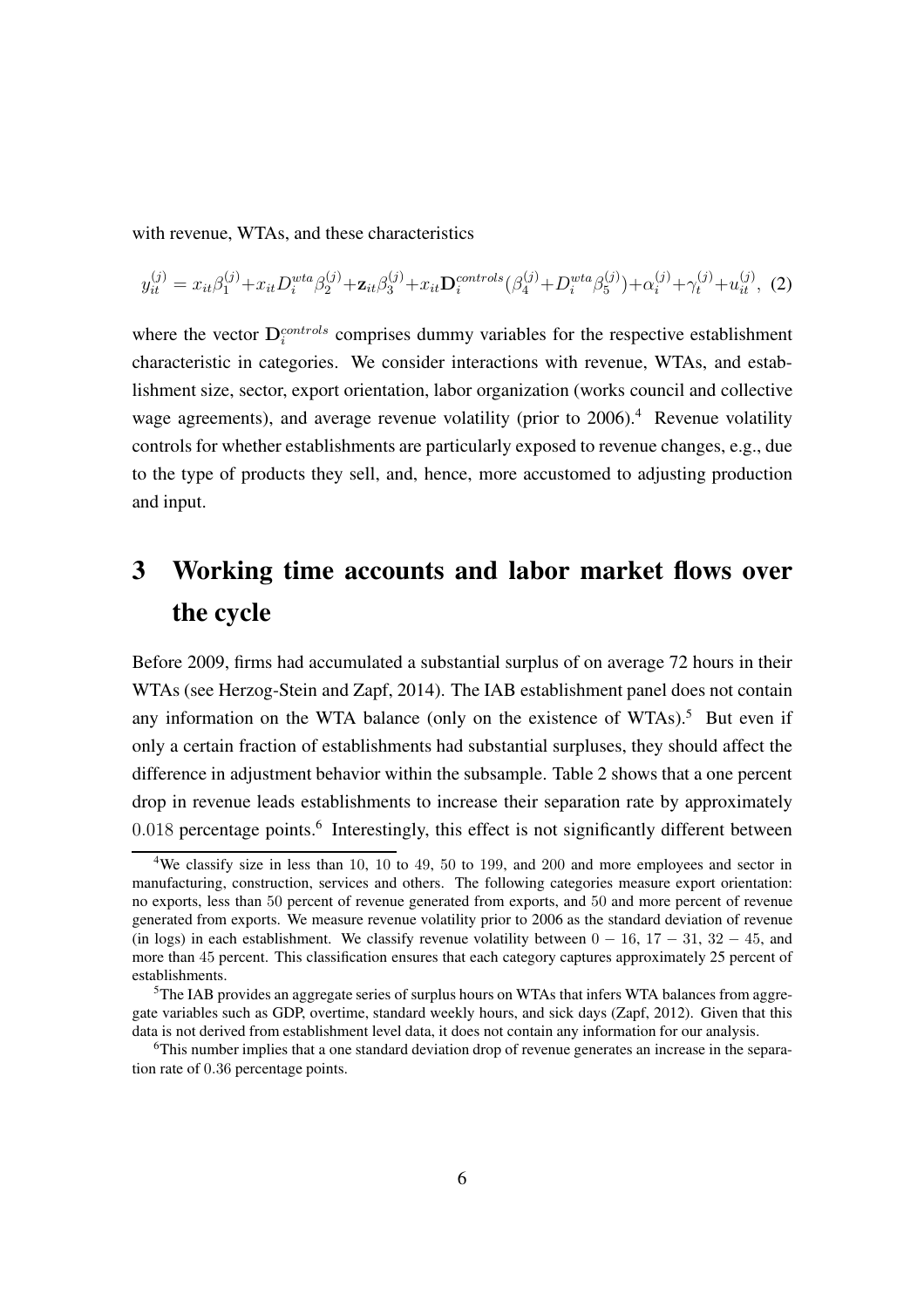with revenue, WTAs, and these characteristics

<span id="page-7-3"></span>
$$
y_{it}^{(j)} = x_{it}\beta_1^{(j)} + x_{it}D_i^{wta}\beta_2^{(j)} + \mathbf{z}_{it}\beta_3^{(j)} + x_{it}\mathbf{D}_i^{controls}(\beta_4^{(j)} + D_i^{wta}\beta_5^{(j)}) + \alpha_i^{(j)} + \gamma_t^{(j)} + u_{it}^{(j)}, \tag{2}
$$

where the vector  $\mathbf{D}_{i}^{controls}$  comprises dummy variables for the respective establishment characteristic in categories. We consider interactions with revenue, WTAs, and establishment size, sector, export orientation, labor organization (works council and collective wage agreements), and average revenue volatility (prior to  $2006$ ).<sup>[4](#page-7-0)</sup> Revenue volatility controls for whether establishments are particularly exposed to revenue changes, e.g., due to the type of products they sell, and, hence, more accustomed to adjusting production and input.

### 3 Working time accounts and labor market flows over the cycle

Before 2009, firms had accumulated a substantial surplus of on average 72 hours in their WTAs (see [Herzog-Stein and Zapf](#page-13-8), [2014\)](#page-13-8). The IAB establishment panel does not contain any information on the WTA balance (only on the existence of WTAs).<sup>[5](#page-7-1)</sup> But even if only a certain fraction of establishments had substantial surpluses, they should affect the difference in adjustment behavior within the subsample. Table [2](#page-9-0) shows that a one percent drop in revenue leads establishments to increase their separation rate by approximately 0.018 percentage points.<sup>[6](#page-7-2)</sup> Interestingly, this effect is not significantly different between

<span id="page-7-0"></span><sup>&</sup>lt;sup>4</sup>We classify size in less than 10, 10 to 49, 50 to 199, and 200 and more employees and sector in manufacturing, construction, services and others. The following categories measure export orientation: no exports, less than 50 percent of revenue generated from exports, and 50 and more percent of revenue generated from exports. We measure revenue volatility prior to 2006 as the standard deviation of revenue (in logs) in each establishment. We classify revenue volatility between  $0 - 16$ ,  $17 - 31$ ,  $32 - 45$ , and more than 45 percent. This classification ensures that each category captures approximately 25 percent of establishments.

<span id="page-7-1"></span><sup>&</sup>lt;sup>5</sup>The IAB provides an aggregate series of surplus hours on WTAs that infers WTA balances from aggregate variables such as GDP, overtime, standard weekly hours, and sick days [\(Zapf, 2012](#page-13-9)). Given that this data is not derived from establishment level data, it does not contain any information for our analysis.

<span id="page-7-2"></span><sup>6</sup>This number implies that a one standard deviation drop of revenue generates an increase in the separation rate of 0.36 percentage points.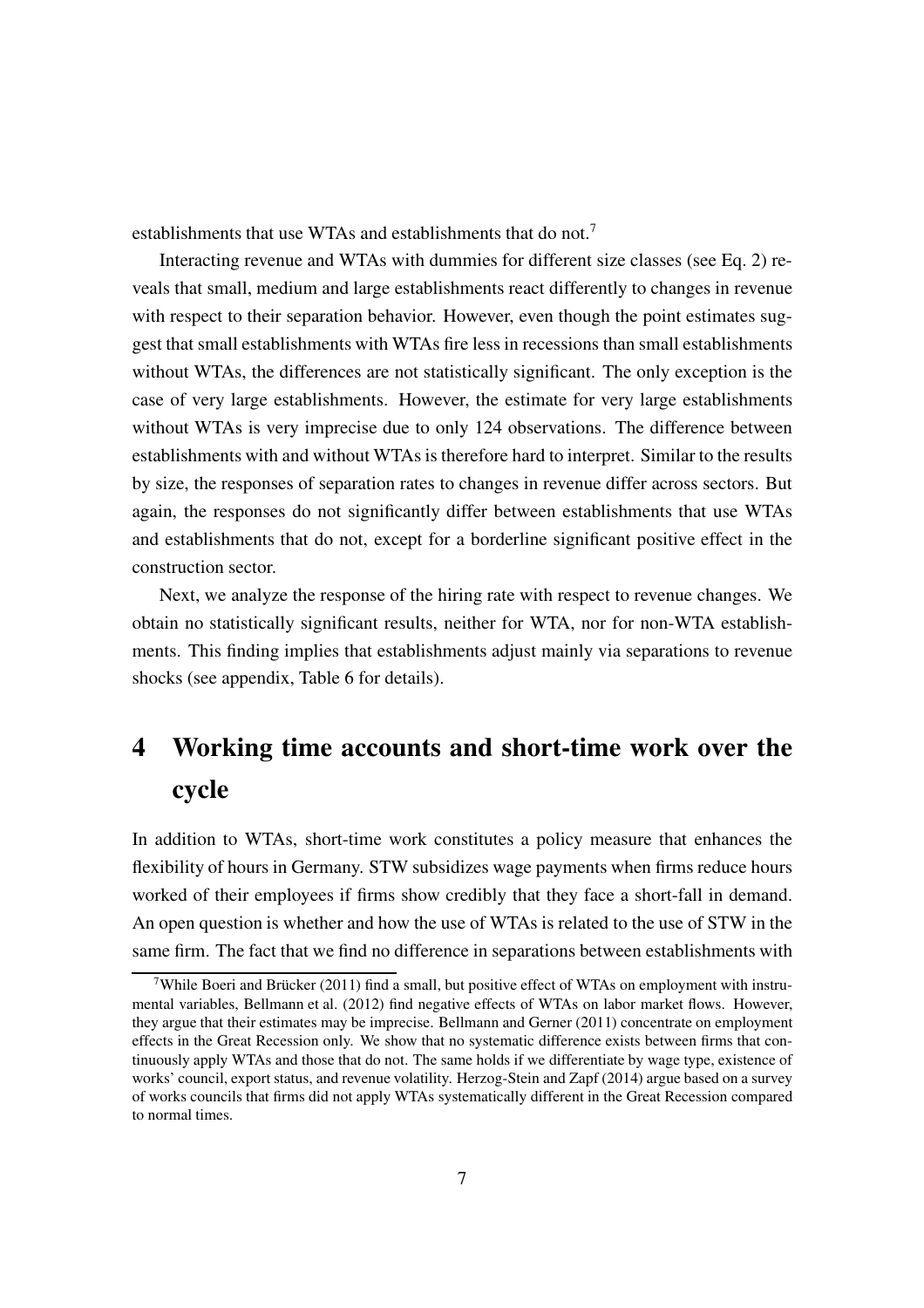establishments that use WTAs and establishments that do not.<sup>[7](#page-8-0)</sup>

Interacting revenue and WTAs with dummies for different size classes (see Eq. [2\)](#page-7-3) reveals that small, medium and large establishments react differently to changes in revenue with respect to their separation behavior. However, even though the point estimates suggest that small establishments with WTAs fire less in recessions than small establishments without WTAs, the differences are not statistically significant. The only exception is the case of very large establishments. However, the estimate for very large establishments without WTAs is very imprecise due to only 124 observations. The difference between establishments with and without WTAs is therefore hard to interpret. Similar to the results by size, the responses of separation rates to changes in revenue differ across sectors. But again, the responses do not significantly differ between establishments that use WTAs and establishments that do not, except for a borderline significant positive effect in the construction sector.

Next, we analyze the response of the hiring rate with respect to revenue changes. We obtain no statistically significant results, neither for WTA, nor for non-WTA establishments. This finding implies that establishments adjust mainly via separations to revenue shocks (see appendix, Table [6](#page-18-0) for details).

## 4 Working time accounts and short-time work over the cycle

In addition to WTAs, short-time work constitutes a policy measure that enhances the flexibility of hours in Germany. STW subsidizes wage payments when firms reduce hours worked of their employees if firms show credibly that they face a short-fall in demand. An open question is whether and how the use of WTAs is related to the use of STW in the same firm. The fact that we find no difference in separations between establishments with

<span id="page-8-0"></span><sup>&</sup>lt;sup>7</sup>While [Boeri and Brücker \(2011](#page-13-5)) find a small, but positive effect of WTAs on employment with instrumental variables, [Bellmann et al. \(2012](#page-13-7)) find negative effects of WTAs on labor market flows. However, they argue that their estimates may be imprecise. [Bellmann and Gerner \(2011\)](#page-13-6) concentrate on employment effects in the Great Recession only. We show that no systematic difference exists between firms that continuously apply WTAs and those that do not. The same holds if we differentiate by wage type, existence of works' council, export status, and revenue volatility. [Herzog-Stein and Zapf \(2014\)](#page-13-8) argue based on a survey of works councils that firms did not apply WTAs systematically different in the Great Recession compared to normal times.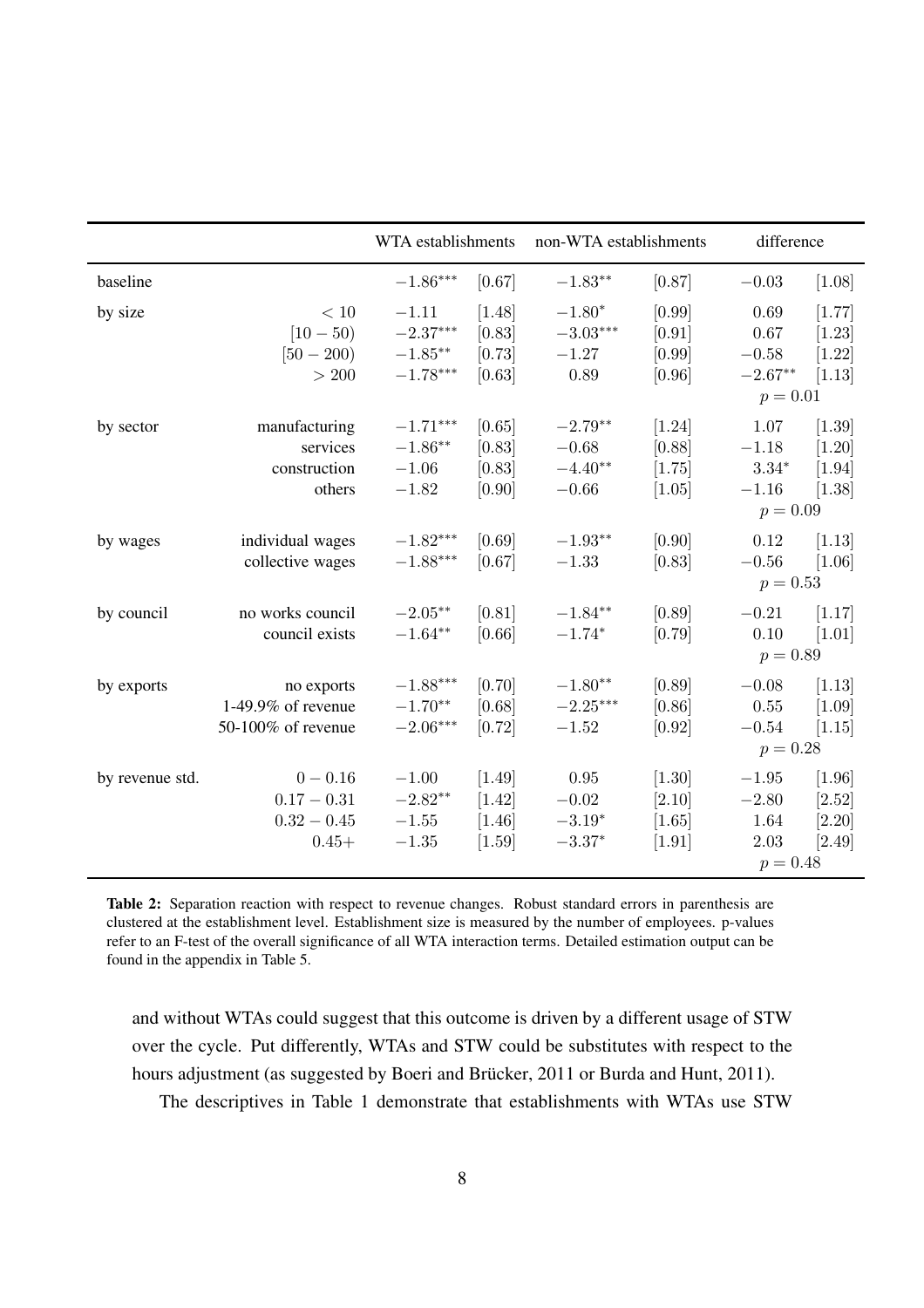<span id="page-9-0"></span>

|                 |                                                         | WTA establishments                                |                                            | non-WTA establishments                       |                                              | difference                                          |                                              |
|-----------------|---------------------------------------------------------|---------------------------------------------------|--------------------------------------------|----------------------------------------------|----------------------------------------------|-----------------------------------------------------|----------------------------------------------|
| baseline        |                                                         | $-1.86***$                                        | [0.67]                                     | $-1.83**$                                    | [0.87]                                       | $-0.03$                                             | [1.08]                                       |
| by size         | $<10\,$<br>$[10 - 50)$<br>$[50 - 200]$<br>$>200$        | $-1.11$<br>$-2.37***$<br>$-1.85***$<br>$-1.78***$ | $[1.48]$<br>[0.83]<br>[0.73]<br>[0.63]     | $-1.80*$<br>$-3.03***$<br>$-1.27$<br>0.89    | [0.99]<br>[0.91]<br>[0.99]<br>[0.96]         | 0.69<br>0.67<br>$-0.58$<br>$-2.67**$<br>$p = 0.01$  | [1.77]<br>$[1.23]$<br>$[1.22]$<br>[1.13]     |
| by sector       | manufacturing<br>services<br>construction<br>others     | $-1.71***$<br>$-1.86**$<br>$-1.06$<br>$-1.82$     | [0.65]<br>[0.83]<br>[0.83]<br>[0.90]       | $-2.79**$<br>$-0.68$<br>$-4.40**$<br>$-0.66$ | $[1.24]$<br>[0.88]<br>[1.75]<br>$[1.05]$     | 1.07<br>$-1.18$<br>$3.34*$<br>$-1.16$<br>$p = 0.09$ | $[1.39]$<br>$[1.20]$<br>$[1.94]$<br>$[1.38]$ |
| by wages        | individual wages<br>collective wages                    | $-1.82***$<br>$-1.88***$                          | [0.69]<br>[0.67]                           | $-1.93**$<br>$-1.33$                         | [0.90]<br>[0.83]                             | 0.12<br>$-0.56$<br>$p = 0.53$                       | [1.13]<br>[1.06]                             |
| by council      | no works council<br>council exists                      | $-2.05***$<br>$-1.64**$                           | [0.81]<br>[0.66]                           | $-1.84**$<br>$-1.74*$                        | [0.89]<br>[0.79]                             | $-0.21$<br>0.10<br>$p = 0.89$                       | [1.17]<br>$[1.01]$                           |
| by exports      | no exports<br>1-49.9% of revenue<br>50-100% of revenue  | $-1.88***$<br>$-1.70**$<br>$-2.06***$             | [0.70]<br>[0.68]<br>[0.72]                 | $-1.80**$<br>$-2.25***$<br>$-1.52$           | [0.89]<br>[0.86]<br>[0.92]                   | $-0.08$<br>$0.55\,$<br>$-0.54$<br>$p = 0.28$        | [1.13]<br>$[1.09]$<br>[1.15]                 |
| by revenue std. | $0 - 0.16$<br>$0.17 - 0.31$<br>$0.32 - 0.45$<br>$0.45+$ | $-1.00$<br>$-2.82**$<br>$-1.55$<br>$-1.35$        | $[1.49]$<br>$[1.42]$<br>$[1.46]$<br>[1.59] | 0.95<br>$-0.02$<br>$-3.19*$<br>$-3.37*$      | $[1.30]$<br>$[2.10]$<br>$[1.65]$<br>$[1.91]$ | $-1.95$<br>$-2.80$<br>1.64<br>2.03<br>$p = 0.48$    | $[1.96]$<br>$[2.52]$<br>$[2.20]$<br>[2.49]   |

Table 2: Separation reaction with respect to revenue changes. Robust standard errors in parenthesis are clustered at the establishment level. Establishment size is measured by the number of employees. p-values refer to an F-test of the overall significance of all WTA interaction terms. Detailed estimation output can be found in the appendix in Table [5.](#page-17-0)

and without WTAs could suggest that this outcome is driven by a different usage of STW over the cycle. Put differently, WTAs and STW could be substitutes with respect to the hours adjustment (as suggested by [Boeri and Brücker](#page-13-5), [2011](#page-13-5) or [Burda and Hunt](#page-13-0), [2011](#page-13-0)). The descriptives in Table [1](#page-5-0) demonstrate that establishments with WTAs use STW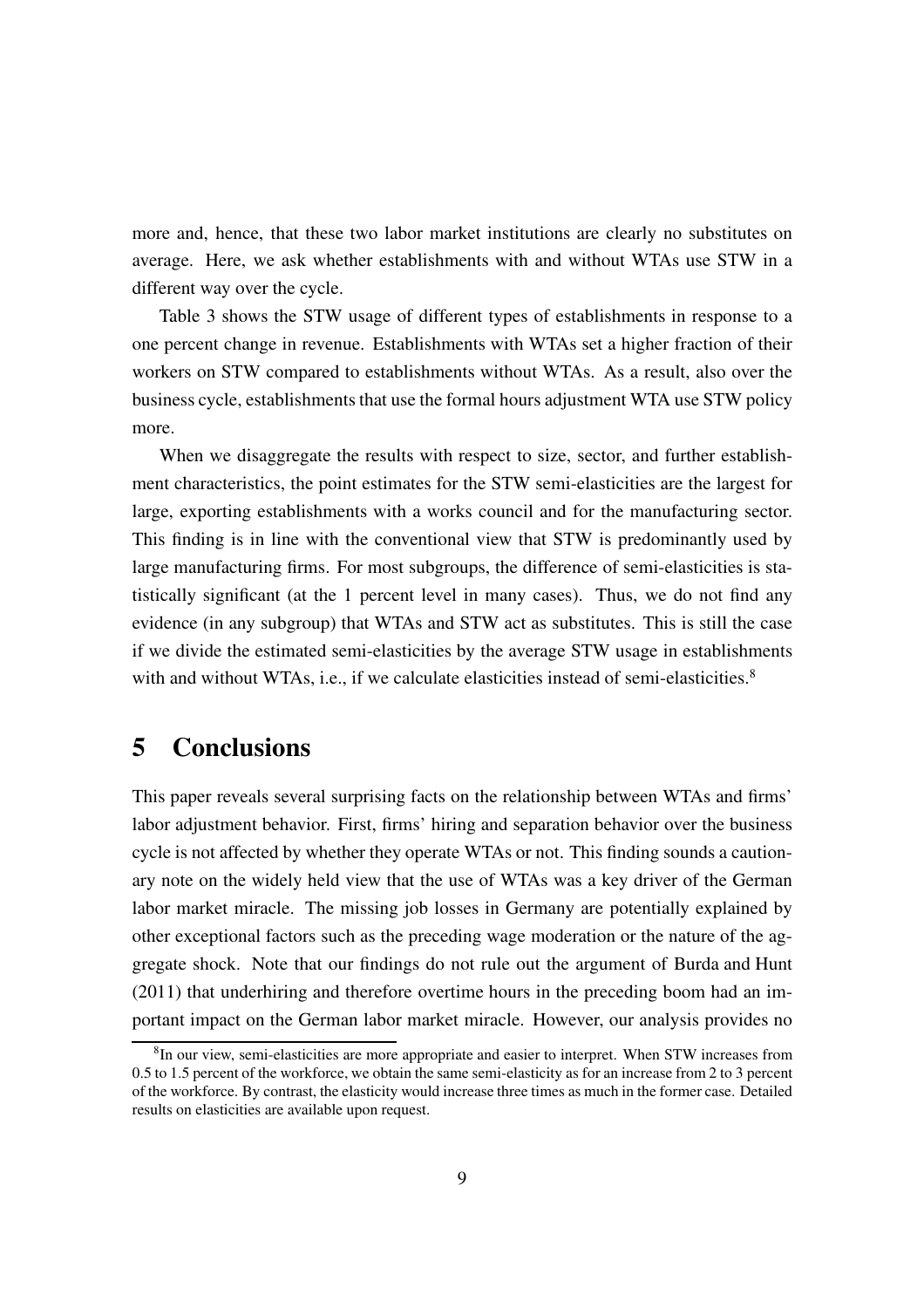more and, hence, that these two labor market institutions are clearly no substitutes on average. Here, we ask whether establishments with and without WTAs use STW in a different way over the cycle.

Table [3](#page-11-0) shows the STW usage of different types of establishments in response to a one percent change in revenue. Establishments with WTAs set a higher fraction of their workers on STW compared to establishments without WTAs. As a result, also over the business cycle, establishments that use the formal hours adjustment WTA use STW policy more.

When we disaggregate the results with respect to size, sector, and further establishment characteristics, the point estimates for the STW semi-elasticities are the largest for large, exporting establishments with a works council and for the manufacturing sector. This finding is in line with the conventional view that STW is predominantly used by large manufacturing firms. For most subgroups, the difference of semi-elasticities is statistically significant (at the 1 percent level in many cases). Thus, we do not find any evidence (in any subgroup) that WTAs and STW act as substitutes. This is still the case if we divide the estimated semi-elasticities by the average STW usage in establishments with and without WTAs, i.e., if we calculate elasticities instead of semi-elasticities.<sup>[8](#page-10-0)</sup>

#### 5 Conclusions

This paper reveals several surprising facts on the relationship between WTAs and firms' labor adjustment behavior. First, firms' hiring and separation behavior over the business cycle is not affected by whether they operate WTAs or not. This finding sounds a cautionary note on the widely held view that the use of WTAs was a key driver of the German labor market miracle. The missing job losses in Germany are potentially explained by other exceptional factors such as the preceding wage moderation or the nature of the aggregate shock. Note that our findings do not rule out the argument of [Burda and Hunt](#page-13-0) [\(2011\)](#page-13-0) that underhiring and therefore overtime hours in the preceding boom had an important impact on the German labor market miracle. However, our analysis provides no

<span id="page-10-0"></span><sup>&</sup>lt;sup>8</sup>In our view, semi-elasticities are more appropriate and easier to interpret. When STW increases from 0.5 to 1.5 percent of the workforce, we obtain the same semi-elasticity as for an increase from 2 to 3 percent of the workforce. By contrast, the elasticity would increase three times as much in the former case. Detailed results on elasticities are available upon request.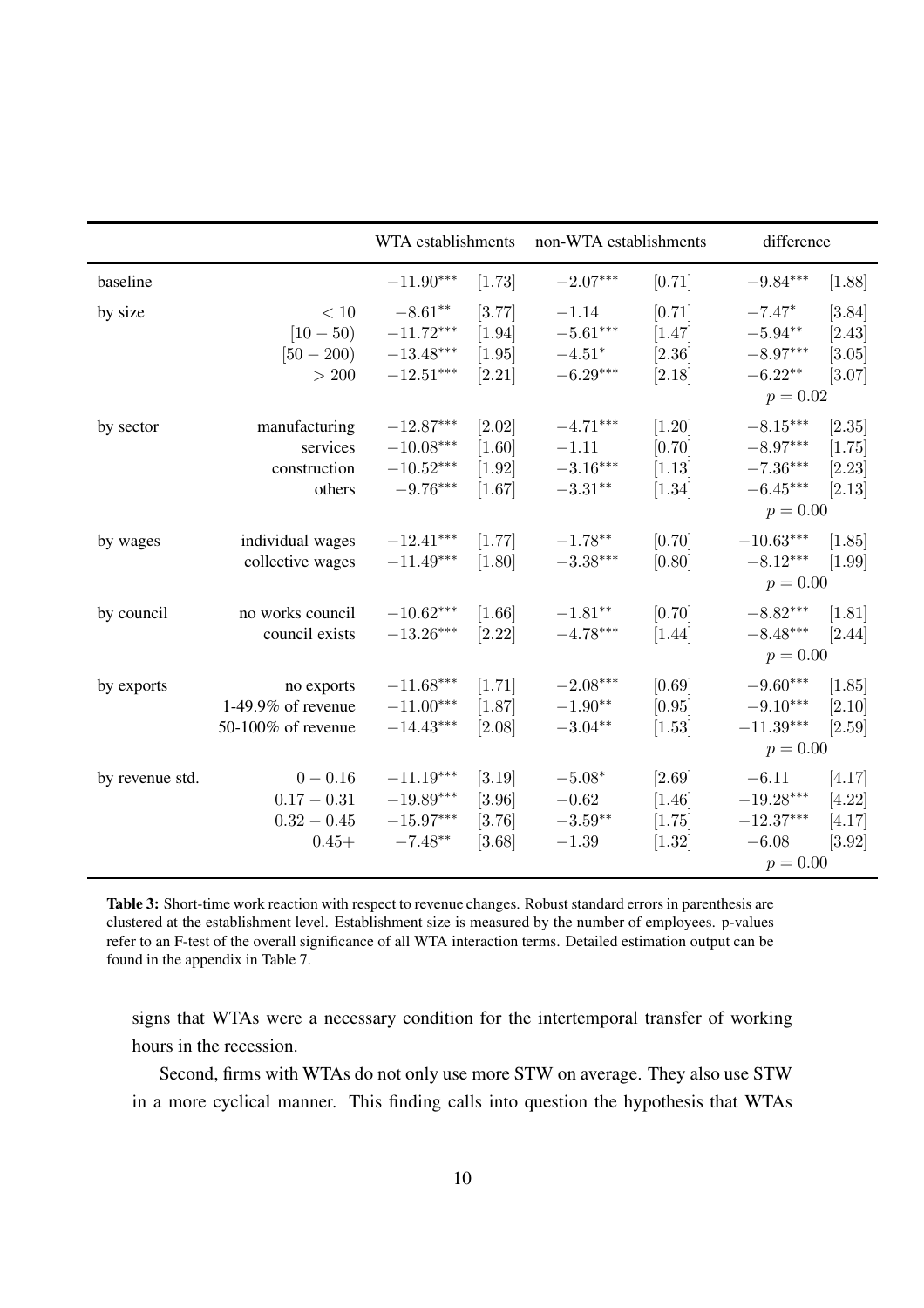<span id="page-11-0"></span>

|                 |                    | WTA establishments      |          | non-WTA establishments |          | difference              |                     |
|-----------------|--------------------|-------------------------|----------|------------------------|----------|-------------------------|---------------------|
| baseline        |                    | $-11.90***$             | [1.73]   | $-2.07***$             | [0.71]   | $-9.84***$              | [1.88]              |
| by size         | $<10\,$            | $-8.61**$               | [3.77]   | $-1.14$                | [0.71]   | $-7.47*$                | [3.84]              |
|                 | $[10 - 50]$        | $-11.72***$             | $[1.94]$ | $-5.61***$             | $[1.47]$ | $-5.94**$               | $[2.43]$            |
|                 | $[50 - 200]$       | $-13.48^{\ast\ast\ast}$ | [1.95]   | $-4.51^{\ast}$         | $[2.36]$ | $-8.97^{\ast\ast\ast}$  | [3.05]              |
|                 | $>200$             | $-12.51***$             | $[2.21]$ | $-6.29***$             | [2.18]   | $-6.22**$               | $[3.07]$            |
|                 |                    |                         |          |                        |          | $p = 0.02$              |                     |
| by sector       | manufacturing      | $-12.87***$             | $[2.02]$ | $-4.71***$             | $[1.20]$ | $-8.15***$              | [2.35]              |
|                 | services           | $-10.08***$             | [1.60]   | $-1.11$                | [0.70]   | $-8.97***$              | [1.75]              |
|                 | construction       | $-10.52^{\ast\ast\ast}$ | $[1.92]$ | $-3.16***$             | $[1.13]$ | $-7.36***$              | $[2.23]$            |
|                 | others             | $-9.76***$              | $[1.67]$ | $-3.31**$              | $[1.34]$ | $-6.45***$              | [2.13]              |
|                 |                    |                         |          |                        |          | $p = 0.00$              |                     |
| by wages        | individual wages   | $-12.41***$             | [1.77]   | $-1.78**$              | [0.70]   | $-10.63^{\ast\ast\ast}$ | [1.85]              |
|                 | collective wages   | $-11.49***$             | [1.80]   | $-3.38***$             | [0.80]   | $-8.12***$              | $[1.99]$            |
|                 |                    |                         |          |                        |          | $p = 0.00$              |                     |
| by council      | no works council   | $-10.62***$             | $[1.66]$ | $-1.81**$              | [0.70]   | $-8.82***$              | $[1.81]$            |
|                 | council exists     | $-13.26***$             | $[2.22]$ | $-4.78***$             | [1.44]   | $-8.48***$              | $[2.44]$            |
|                 |                    |                         |          |                        |          | $p = 0.00$              |                     |
| by exports      | no exports         | $-11.68***$             | $[1.71]$ | $-2.08***$             | [0.69]   | $-9.60***$              | [1.85]              |
|                 | 1-49.9% of revenue | $-11.00***$             | $[1.87]$ | $-1.90**$              | [0.95]   | $-9.10***$              | [2.10]              |
|                 | 50-100% of revenue | $-14.43***$             | $[2.08]$ | $-3.04**$              | $[1.53]$ | $-11.39^{\ast\ast\ast}$ | $[2.59]$            |
|                 |                    |                         |          |                        |          | $p = 0.00$              |                     |
| by revenue std. | $0 - 0.16$         | $-11.19***$             | $[3.19]$ | $-5.08*$               | $[2.69]$ | $-6.11$                 | [4.17]              |
|                 | $0.17 - 0.31$      | $-19.89***$             | [3.96]   | $-0.62$                | $[1.46]$ | $-19.28^{\ast\ast\ast}$ | $[4.22]$            |
|                 | $0.32 - 0.45$      | $-15.97***$             | $[3.76]$ | $-3.59**$              | [1.75]   | $-12.37***$             | [4.17]              |
|                 | $0.45+$            | $-7.48**$               | [3.68]   | $-1.39$                | $[1.32]$ | $-6.08$                 | $\left[3.92\right]$ |
|                 |                    |                         |          |                        |          | $p = 0.00$              |                     |

Table 3: Short-time work reaction with respect to revenue changes. Robust standard errors in parenthesis are clustered at the establishment level. Establishment size is measured by the number of employees. p-values refer to an F-test of the overall significance of all WTA interaction terms. Detailed estimation output can be found in the appendix in Table [7.](#page-19-0)

signs that WTAs were a necessary condition for the intertemporal transfer of working hours in the recession.

Second, firms with WTAs do not only use more STW on average. They also use STW in a more cyclical manner. This finding calls into question the hypothesis that WTAs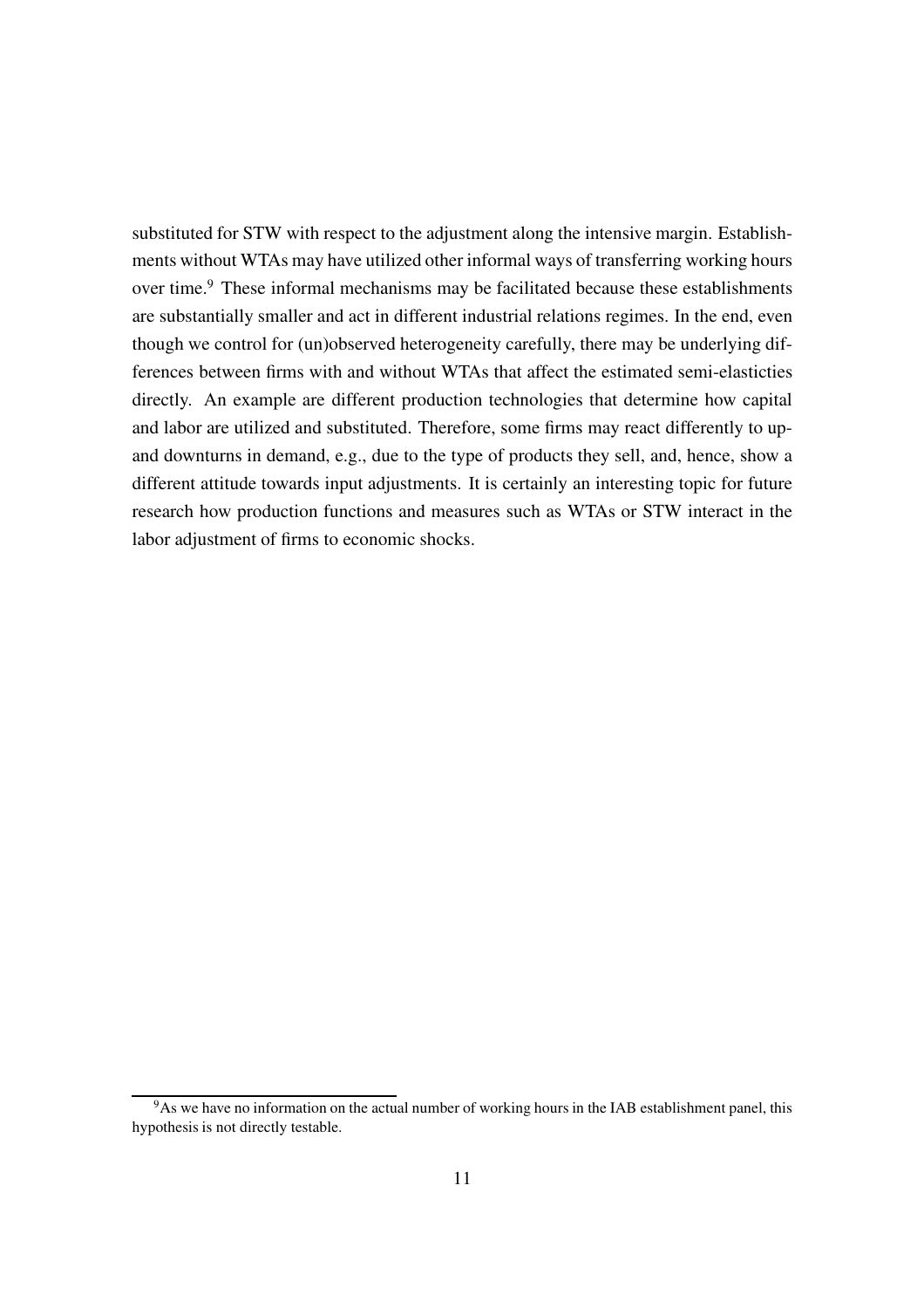substituted for STW with respect to the adjustment along the intensive margin. Establishments without WTAs may have utilized other informal ways of transferring working hours over time.<sup>[9](#page-12-0)</sup> These informal mechanisms may be facilitated because these establishments are substantially smaller and act in different industrial relations regimes. In the end, even though we control for (un)observed heterogeneity carefully, there may be underlying differences between firms with and without WTAs that affect the estimated semi-elasticties directly. An example are different production technologies that determine how capital and labor are utilized and substituted. Therefore, some firms may react differently to upand downturns in demand, e.g., due to the type of products they sell, and, hence, show a different attitude towards input adjustments. It is certainly an interesting topic for future research how production functions and measures such as WTAs or STW interact in the labor adjustment of firms to economic shocks.

<span id="page-12-0"></span><sup>&</sup>lt;sup>9</sup>As we have no information on the actual number of working hours in the IAB establishment panel, this hypothesis is not directly testable.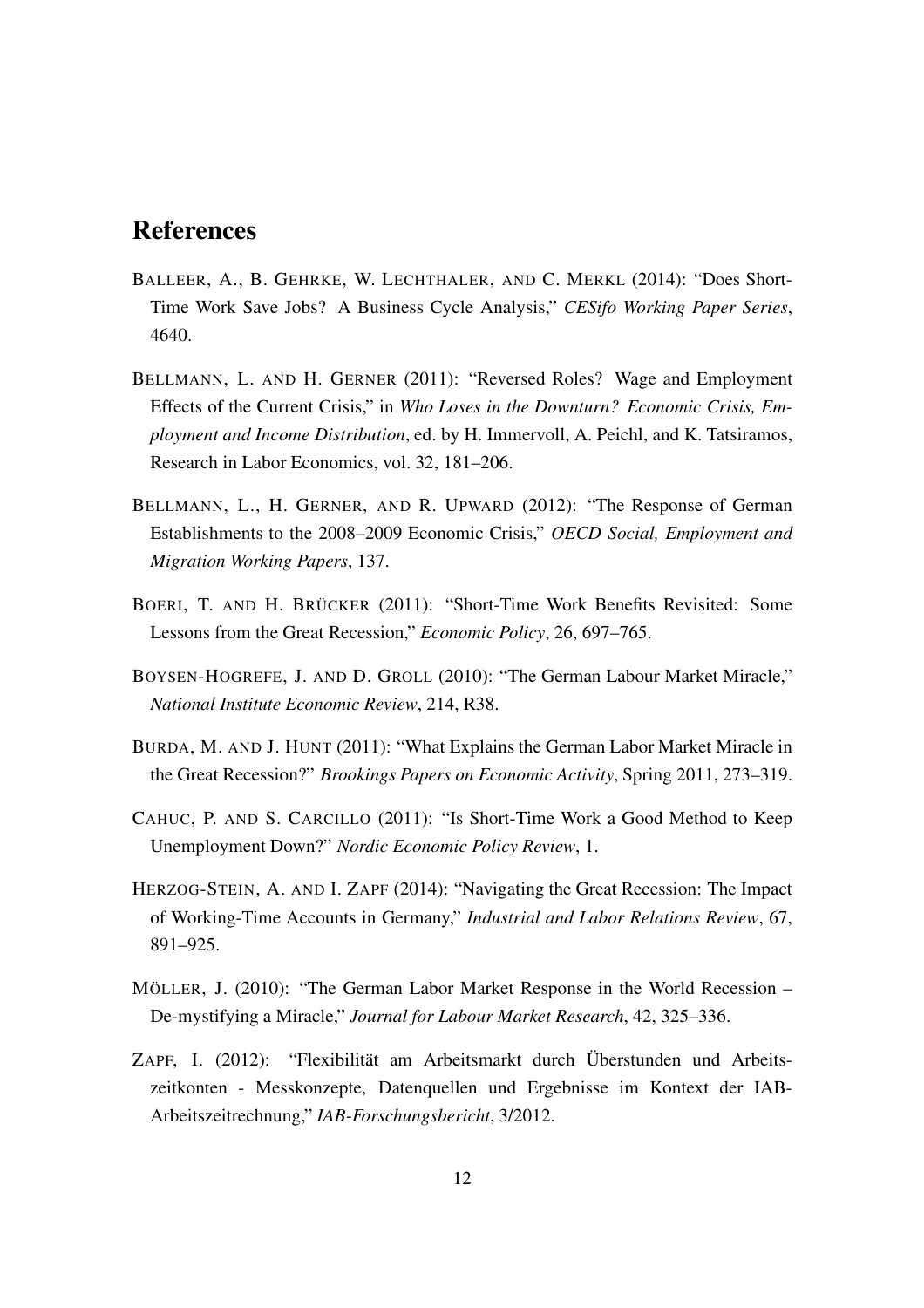#### References

- <span id="page-13-4"></span>BALLEER, A., B. GEHRKE, W. LECHTHALER, AND C. MERKL (2014): "Does Short-Time Work Save Jobs? A Business Cycle Analysis," *CESifo Working Paper Series*, 4640.
- <span id="page-13-6"></span>BELLMANN, L. AND H. GERNER (2011): "Reversed Roles? Wage and Employment Effects of the Current Crisis," in *Who Loses in the Downturn? Economic Crisis, Employment and Income Distribution*, ed. by H. Immervoll, A. Peichl, and K. Tatsiramos, Research in Labor Economics, vol. 32, 181–206.
- <span id="page-13-7"></span>BELLMANN, L., H. GERNER, AND R. UPWARD (2012): "The Response of German Establishments to the 2008–2009 Economic Crisis," *OECD Social, Employment and Migration Working Papers*, 137.
- <span id="page-13-5"></span>BOERI, T. AND H. BRÜCKER (2011): "Short-Time Work Benefits Revisited: Some Lessons from the Great Recession," *Economic Policy*, 26, 697–765.
- <span id="page-13-2"></span>BOYSEN-HOGREFE, J. AND D. GROLL (2010): "The German Labour Market Miracle," *National Institute Economic Review*, 214, R38.
- <span id="page-13-0"></span>BURDA, M. AND J. HUNT (2011): "What Explains the German Labor Market Miracle in the Great Recession?" *Brookings Papers on Economic Activity*, Spring 2011, 273–319.
- <span id="page-13-3"></span>CAHUC, P. AND S. CARCILLO (2011): "Is Short-Time Work a Good Method to Keep Unemployment Down?" *Nordic Economic Policy Review*, 1.
- <span id="page-13-8"></span>HERZOG-STEIN, A. AND I. ZAPF (2014): "Navigating the Great Recession: The Impact of Working-Time Accounts in Germany," *Industrial and Labor Relations Review*, 67, 891–925.
- <span id="page-13-1"></span>MÖLLER, J. (2010): "The German Labor Market Response in the World Recession – De-mystifying a Miracle," *Journal for Labour Market Research*, 42, 325–336.
- <span id="page-13-9"></span>ZAPF, I. (2012): "Flexibilität am Arbeitsmarkt durch Überstunden und Arbeitszeitkonten - Messkonzepte, Datenquellen und Ergebnisse im Kontext der IAB-Arbeitszeitrechnung," *IAB-Forschungsbericht*, 3/2012.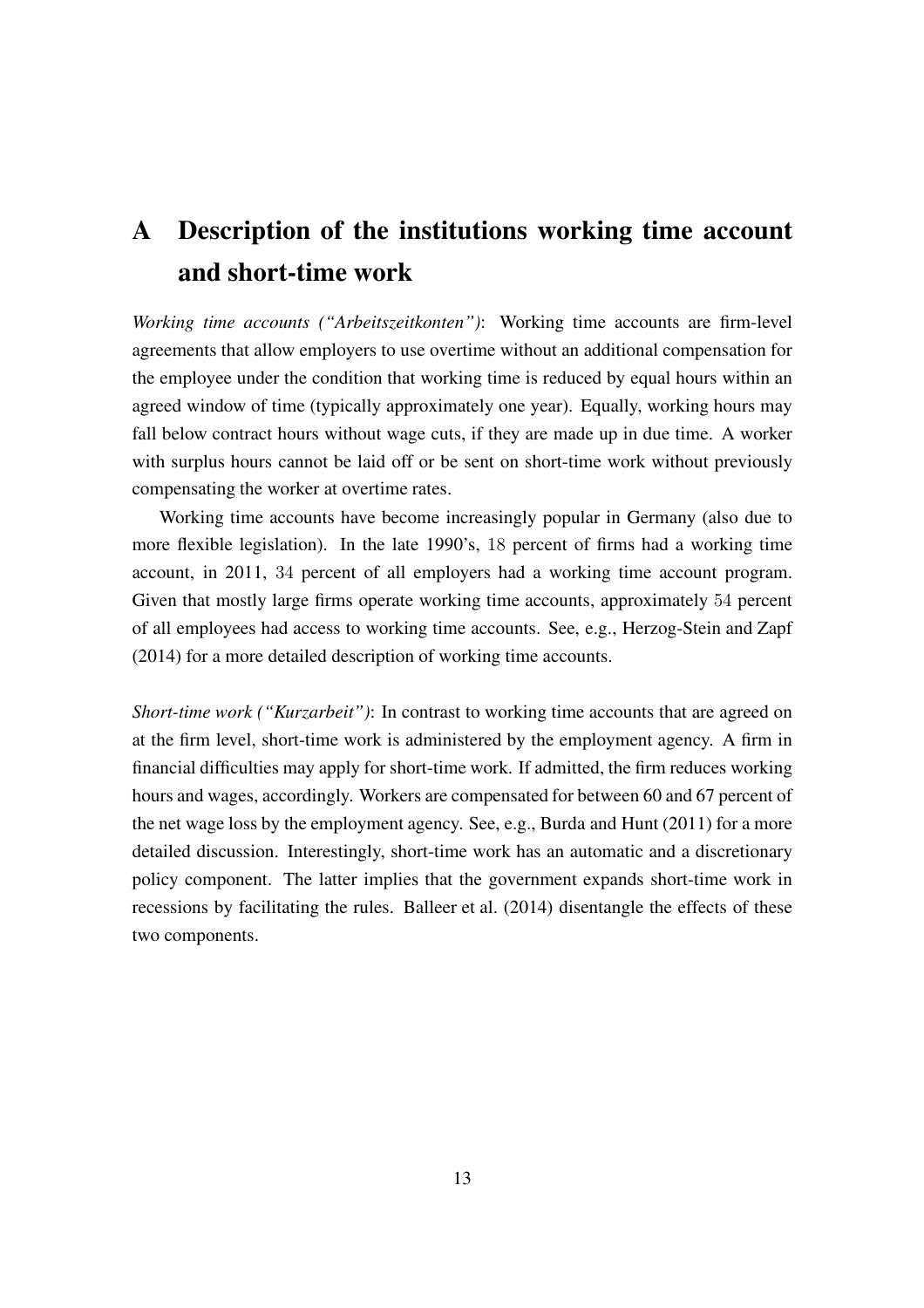## A Description of the institutions working time account and short-time work

*Working time accounts ("Arbeitszeitkonten")*: Working time accounts are firm-level agreements that allow employers to use overtime without an additional compensation for the employee under the condition that working time is reduced by equal hours within an agreed window of time (typically approximately one year). Equally, working hours may fall below contract hours without wage cuts, if they are made up in due time. A worker with surplus hours cannot be laid off or be sent on short-time work without previously compensating the worker at overtime rates.

Working time accounts have become increasingly popular in Germany (also due to more flexible legislation). In the late 1990's, 18 percent of firms had a working time account, in 2011, 34 percent of all employers had a working time account program. Given that mostly large firms operate working time accounts, approximately 54 percent of all employees had access to working time accounts. See, e.g., [Herzog-Stein and Zapf](#page-13-8) [\(2014\)](#page-13-8) for a more detailed description of working time accounts.

*Short-time work ("Kurzarbeit")*: In contrast to working time accounts that are agreed on at the firm level, short-time work is administered by the employment agency. A firm in financial difficulties may apply for short-time work. If admitted, the firm reduces working hours and wages, accordingly. Workers are compensated for between 60 and 67 percent of the net wage loss by the employment agency. See, e.g., [Burda and Hunt](#page-13-0) [\(2011\)](#page-13-0) for a more detailed discussion. Interestingly, short-time work has an automatic and a discretionary policy component. The latter implies that the government expands short-time work in recessions by facilitating the rules. [Balleer et al. \(2014](#page-13-4)) disentangle the effects of these two components.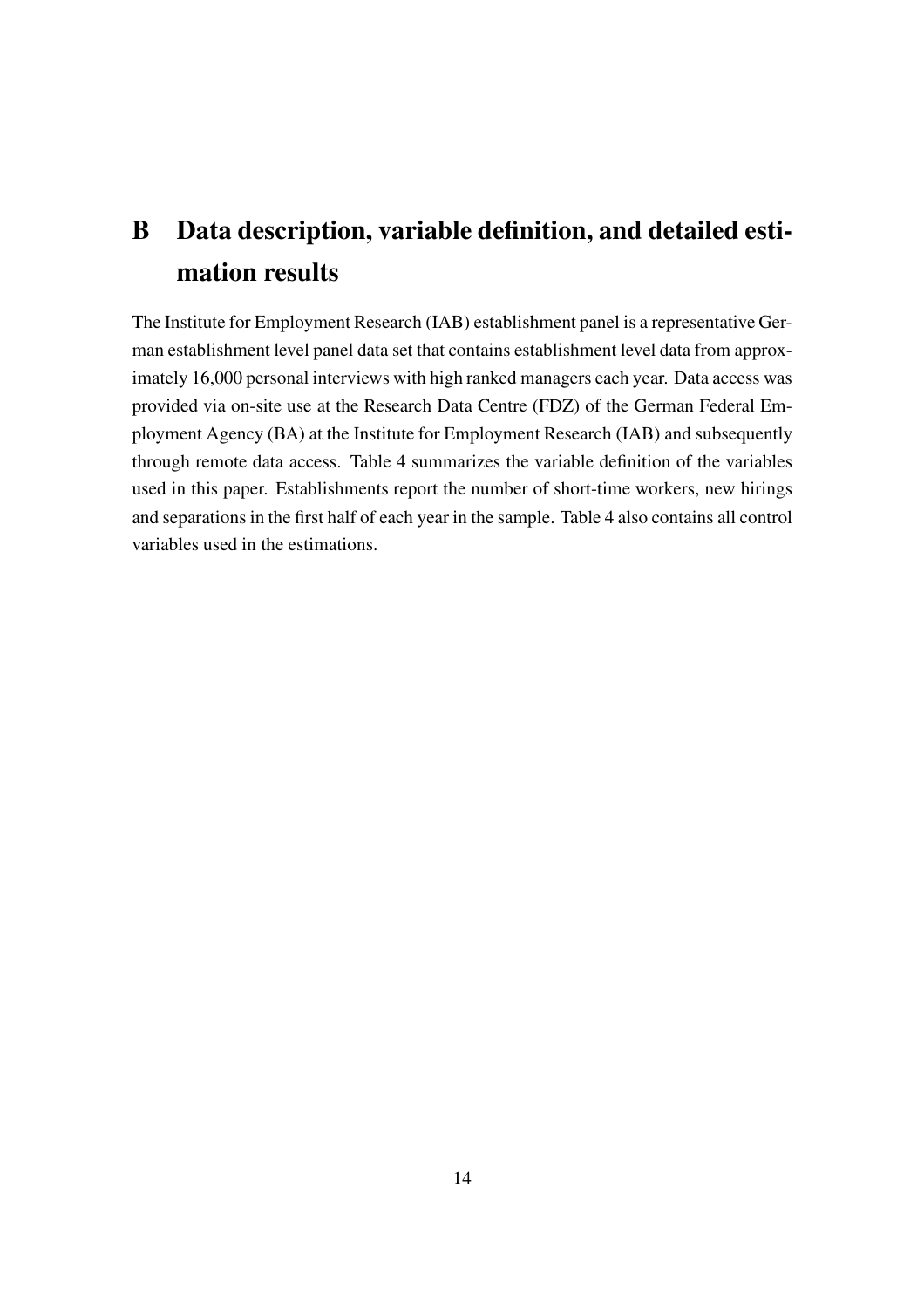## B Data description, variable definition, and detailed estimation results

The Institute for Employment Research (IAB) establishment panel is a representative German establishment level panel data set that contains establishment level data from approximately 16,000 personal interviews with high ranked managers each year. Data access was provided via on-site use at the Research Data Centre (FDZ) of the German Federal Employment Agency (BA) at the Institute for Employment Research (IAB) and subsequently through remote data access. Table [4](#page-16-0) summarizes the variable definition of the variables used in this paper. Establishments report the number of short-time workers, new hirings and separations in the first half of each year in the sample. Table [4](#page-16-0) also contains all control variables used in the estimations.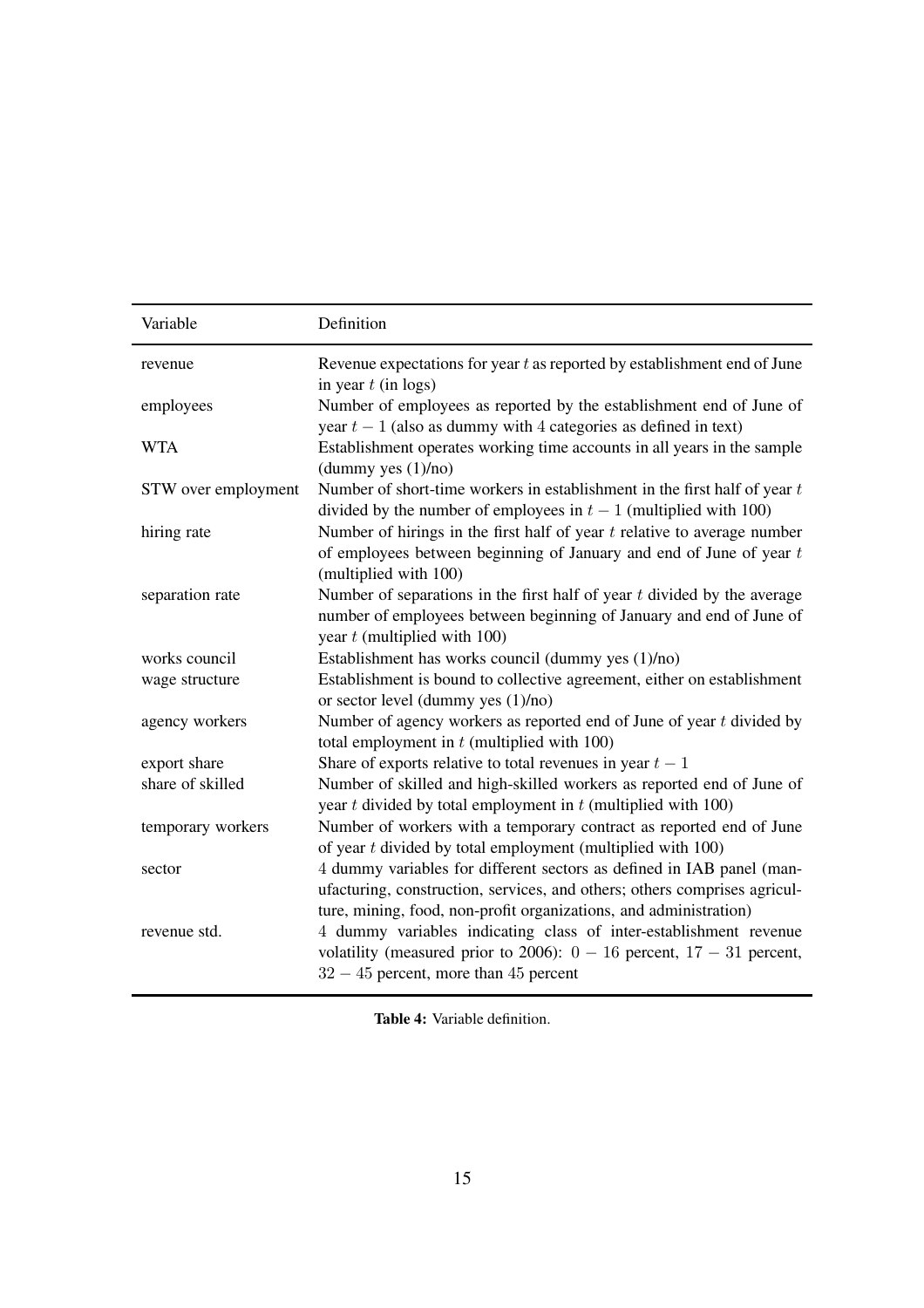<span id="page-16-0"></span>

| Variable            | Definition                                                                                                                                                                                                              |
|---------------------|-------------------------------------------------------------------------------------------------------------------------------------------------------------------------------------------------------------------------|
| revenue             | Revenue expectations for year $t$ as reported by establishment end of June<br>in year $t$ (in logs)                                                                                                                     |
| employees           | Number of employees as reported by the establishment end of June of<br>year $t-1$ (also as dummy with 4 categories as defined in text)                                                                                  |
| <b>WTA</b>          | Establishment operates working time accounts in all years in the sample<br>(dummy yes (1)/no)                                                                                                                           |
| STW over employment | Number of short-time workers in establishment in the first half of year $t$<br>divided by the number of employees in $t-1$ (multiplied with 100)                                                                        |
| hiring rate         | Number of hirings in the first half of year $t$ relative to average number<br>of employees between beginning of January and end of June of year $t$<br>(multiplied with 100)                                            |
| separation rate     | Number of separations in the first half of year $t$ divided by the average<br>number of employees between beginning of January and end of June of<br>year $t$ (multiplied with 100)                                     |
| works council       | Establishment has works council (dummy yes (1)/no)                                                                                                                                                                      |
| wage structure      | Establishment is bound to collective agreement, either on establishment<br>or sector level (dummy yes $(1)/no$ )                                                                                                        |
| agency workers      | Number of agency workers as reported end of June of year $t$ divided by<br>total employment in $t$ (multiplied with 100)                                                                                                |
| export share        | Share of exports relative to total revenues in year $t-1$                                                                                                                                                               |
| share of skilled    | Number of skilled and high-skilled workers as reported end of June of<br>year $t$ divided by total employment in $t$ (multiplied with 100)                                                                              |
| temporary workers   | Number of workers with a temporary contract as reported end of June<br>of year $t$ divided by total employment (multiplied with $100$ )                                                                                 |
| sector              | 4 dummy variables for different sectors as defined in IAB panel (man-<br>ufacturing, construction, services, and others; others comprises agricul-<br>ture, mining, food, non-profit organizations, and administration) |
| revenue std.        | 4 dummy variables indicating class of inter-establishment revenue<br>volatility (measured prior to 2006): $0 - 16$ percent, $17 - 31$ percent,<br>$32 - 45$ percent, more than 45 percent                               |

Table 4: Variable definition.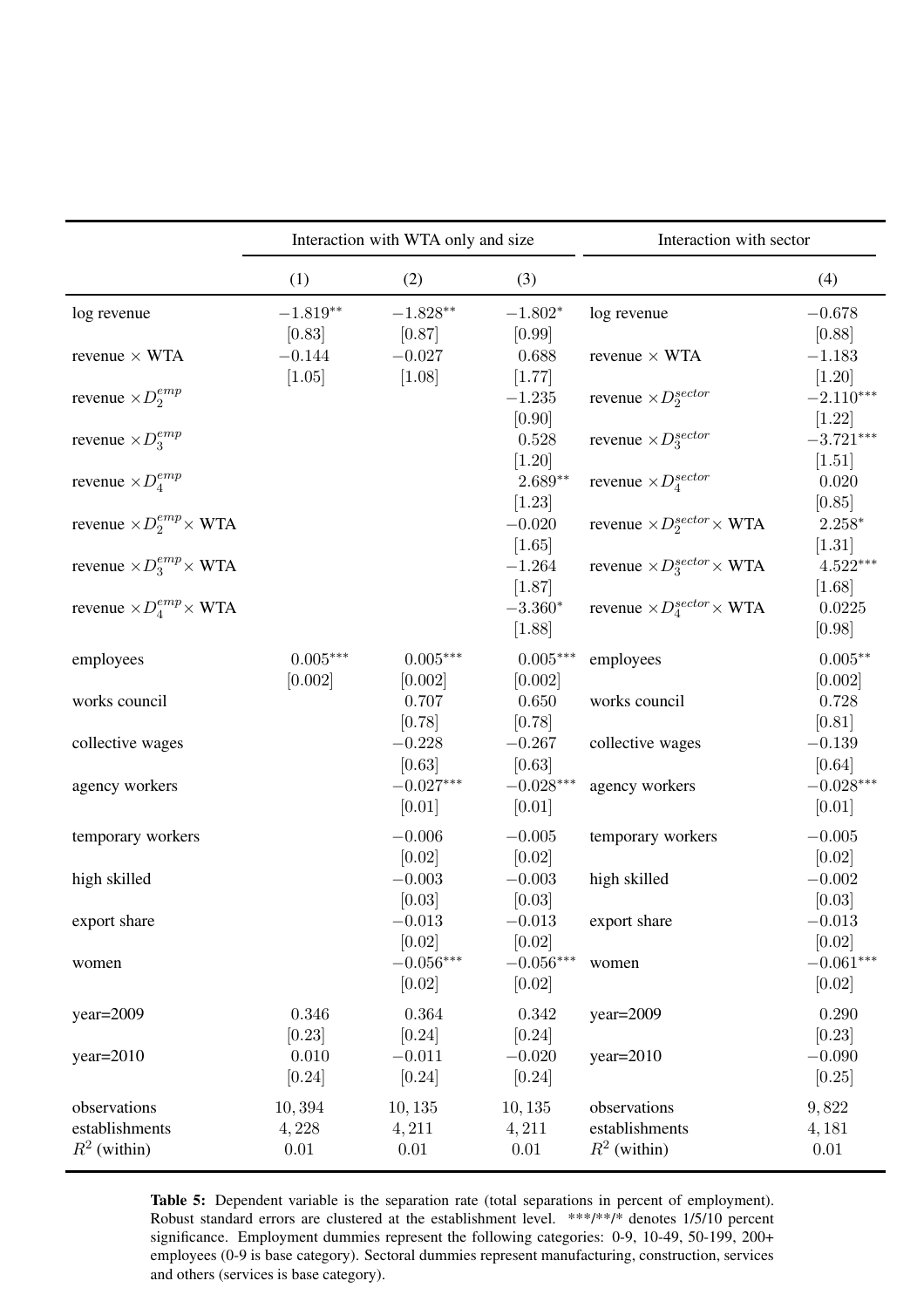<span id="page-17-0"></span>

|                                       | Interaction with WTA only and size |                       |                            | Interaction with sector                        |                       |
|---------------------------------------|------------------------------------|-----------------------|----------------------------|------------------------------------------------|-----------------------|
|                                       | (1)                                | (2)                   | (3)                        |                                                | (4)                   |
| log revenue                           | $-1.819**$<br>[0.83]               | $-1.828**$<br>[0.87]  | $-1.802*$<br>[0.99]        | log revenue                                    | $-0.678$<br>[0.88]    |
| revenue $\times$ WTA                  | $-0.144$<br>[1.05]                 | $-0.027$<br>[1.08]    | 0.688<br>[1.77]            | revenue $\times$ WTA                           | $-1.183$<br>$[1.20]$  |
| revenue $\times D_2^{emp}$            |                                    |                       | $-1.235$<br>[0.90]         | revenue $\times D_2^{sector}$                  | $-2.110***$<br>[1.22] |
| revenue $\times D_3^{emp}$            |                                    |                       | 0.528<br>$[1.20]$          | revenue $\times D_3^{sector}$                  | $-3.721***$<br>[1.51] |
| revenue $\times D_4^{emp}$            |                                    |                       | $2.689**$<br>$[1.23]$      | revenue $\times D_4^{sector}$                  | 0.020<br>[0.85]       |
| revenue $\times D_2^{emp} \times WTA$ |                                    |                       | $-0.020$<br>[1.65]         | revenue $\times D_2^{sector}\times$ WTA        | $2.258*$<br>$[1.31]$  |
| revenue $\times D_3^{emp} \times WTA$ |                                    |                       | $-1.264$<br>[1.87]         | revenue $\times D_3^{sector}\times WTA$        | $4.522***$<br>[1.68]  |
| revenue $\times D_4^{emp} \times WTA$ |                                    |                       | $-3.360*$<br>[1.88]        | revenue $\times D_4^{sector}\times \text{WTA}$ | 0.0225<br>[0.98]      |
| employees                             | $0.005***$<br>[0.002]              | $0.005***$<br>[0.002] | $0.005^{***}\,$<br>[0.002] | employees                                      | $0.005**$<br>[0.002]  |
| works council                         |                                    | 0.707<br>[0.78]       | 0.650<br>[0.78]            | works council                                  | 0.728<br>[0.81]       |
| collective wages                      |                                    | $-0.228$<br>[0.63]    | $-0.267$<br>[0.63]         | collective wages                               | $-0.139$<br>[0.64]    |
| agency workers                        |                                    | $-0.027***$<br>[0.01] | $-0.028***$<br>[0.01]      | agency workers                                 | $-0.028***$<br>[0.01] |
| temporary workers                     |                                    | $-0.006$<br>[0.02]    | $-0.005$<br>[0.02]         | temporary workers                              | $-0.005$<br>[0.02]    |
| high skilled                          |                                    | $-0.003$<br>[0.03]    | $-0.003$<br>[0.03]         | high skilled                                   | $-0.002$<br>[0.03]    |
| export share                          |                                    | $-0.013$<br>[0.02]    | $-0.013\,$<br>[0.02]       | export share                                   | $-0.013$<br>[0.02]    |
| women                                 |                                    | $-0.056***$<br>[0.02] | $-0.056***$<br>[0.02]      | women                                          | $-0.061***$<br>[0.02] |
| $year=2009$                           | 0.346<br>[0.23]                    | 0.364<br>$[0.24]$     | 0.342<br>[0.24]            | year=2009                                      | 0.290<br>[0.23]       |
| $year=2010$                           | 0.010<br>[0.24]                    | $-0.011$<br>$[0.24]$  | $-0.020$<br>[0.24]         | $year=2010$                                    | $-0.090$<br>[0.25]    |
| observations                          | 10,394                             | 10, 135               | 10, 135                    | observations                                   | 9,822                 |
| establishments                        | 4,228                              | 4,211                 | 4,211                      | establishments                                 | 4, 181                |
| $R^2$ (within)                        | $0.01\,$                           | $0.01\,$              | $0.01\,$                   | $R^2$ (within)                                 | 0.01                  |

Table 5: Dependent variable is the separation rate (total separations in percent of employment). Robust standard errors are clustered at the establishment level. \*\*\*/\*\*/\* denotes 1/5/10 percent significance. Employment dummies represent the following categories: 0-9, 10-49, 50-199, 200+ employees (0-9 is base category). Sectoral dummies represent manufacturing, construction, services and others (services is base category).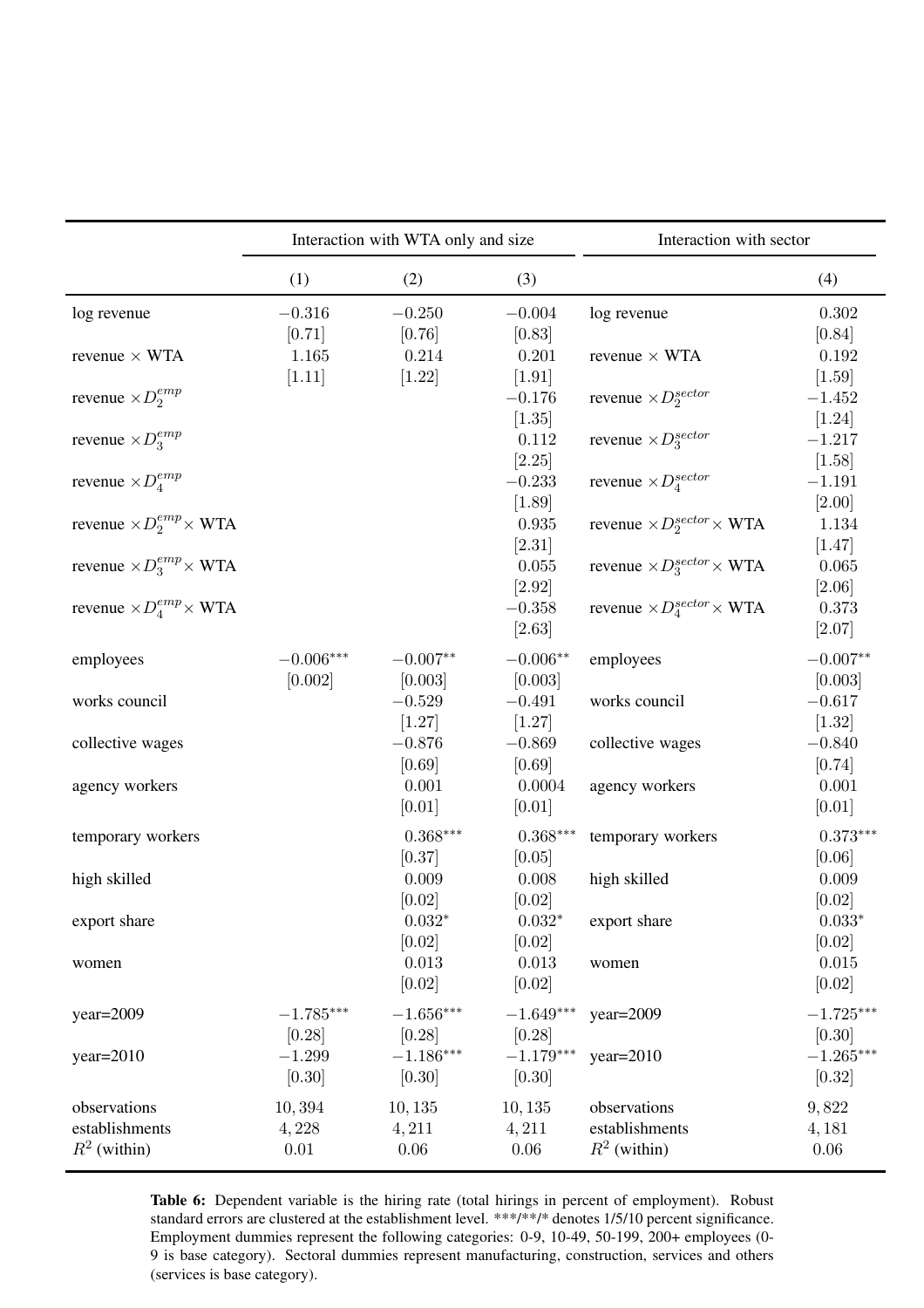<span id="page-18-0"></span>

|                                       | Interaction with WTA only and size |                       |                       | Interaction with sector                        |                           |
|---------------------------------------|------------------------------------|-----------------------|-----------------------|------------------------------------------------|---------------------------|
|                                       | (1)                                | (2)                   | (3)                   |                                                | (4)                       |
| log revenue                           | $-0.316$<br>$[0.71]$               | $-0.250$<br>[0.76]    | $-0.004$<br>[0.83]    | log revenue                                    | $0.302\,$<br>[0.84]       |
| revenue $\times$ WTA                  | 1.165<br>[1.11]                    | 0.214<br>[1.22]       | 0.201<br>[1.91]       | revenue $\times$ WTA                           | 0.192<br>$[1.59]$         |
| revenue $\times D_2^{emp}$            |                                    |                       | $-0.176$<br>[1.35]    | revenue $\times D_2^{sector}$                  | $-1.452$<br>$[1.24]$      |
| revenue $\times D_3^{emp}$            |                                    |                       | 0.112<br>[2.25]       | revenue $\times D_3^{sector}$                  | $-1.217$<br>[1.58]        |
| revenue $\times D_4^{emp}$            |                                    |                       | $-0.233$<br>$[1.89]$  | revenue $\times D_4^{sector}$                  | $-1.191$<br>$[2.00]$      |
| revenue $\times D_2^{emp} \times WTA$ |                                    |                       | 0.935<br>[2.31]       | revenue $\times D_2^{sector}\times$ WTA        | 1.134<br>[1.47]           |
| revenue $\times D_3^{emp} \times WTA$ |                                    |                       | 0.055<br>$[2.92]$     | revenue $\times D_3^{sector}\times WTA$        | 0.065                     |
| revenue $\times D_4^{emp}\times$ WTA  |                                    |                       | $-0.358$<br>[2.63]    | revenue $\times D_4^{sector}\times \text{WTA}$ | [2.06]<br>0.373<br>[2.07] |
| employees                             | $-0.006***$<br>[0.002]             | $-0.007**$<br>[0.003] | $-0.006**$<br>[0.003] | employees                                      | $-0.007**$<br>[0.003]     |
| works council                         |                                    | $-0.529$<br>[1.27]    | $-0.491$<br>[1.27]    | works council                                  | $-0.617$<br>$[1.32]$      |
| collective wages                      |                                    | $-0.876$<br>[0.69]    | $-0.869$<br>[0.69]    | collective wages                               | $-0.840$<br>[0.74]        |
| agency workers                        |                                    | 0.001<br>[0.01]       | 0.0004<br>[0.01]      | agency workers                                 | 0.001<br>[0.01]           |
| temporary workers                     |                                    | $0.368***$<br>[0.37]  | $0.368***$<br>[0.05]  | temporary workers                              | $0.373***$<br>[0.06]      |
| high skilled                          |                                    | 0.009<br>[0.02]       | 0.008<br>[0.02]       | high skilled                                   | 0.009<br>[0.02]           |
| export share                          |                                    | $0.032*$<br>[0.02]    | $0.032*$<br>[0.02]    | export share                                   | $0.033*$<br>[0.02]        |
| women                                 |                                    | 0.013<br>[0.02]       | 0.013<br>[0.02]       | women                                          | 0.015<br>[0.02]           |
| $year=2009$                           | $-1.785***$<br>[0.28]              | $-1.656***$<br>[0.28] | $-1.649***$<br>[0.28] | $year=2009$                                    | $-1.725***$<br>[0.30]     |
| $year=2010$                           | $-1.299$<br>[0.30]                 | $-1.186***$<br>[0.30] | $-1.179***$<br>[0.30] | $year=2010$                                    | $-1.265***$<br>$[0.32]$   |
| observations<br>establishments        | 10,394<br>4,228                    | 10, 135<br>4,211      | 10, 135<br>4,211      | observations<br>establishments                 | 9,822<br>4, 181           |
| $R^2$ (within)                        | 0.01                               | $0.06\,$              | $0.06\,$              | $R^2$ (within)                                 | $0.06\,$                  |

Table 6: Dependent variable is the hiring rate (total hirings in percent of employment). Robust standard errors are clustered at the establishment level. \*\*\*/\*\*/\* denotes 1/5/10 percent significance. Employment dummies represent the following categories: 0-9, 10-49, 50-199, 200+ employees (0- 9 is base category). Sectoral dummies represent manufacturing, construction, services and others (services is base category).